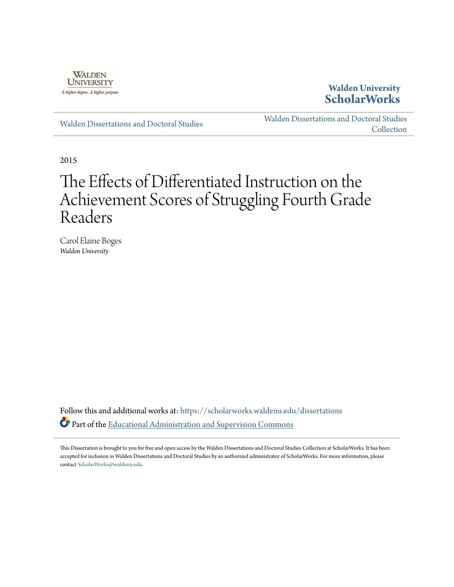

## **Walden University [ScholarWorks](https://scholarworks.waldenu.edu?utm_source=scholarworks.waldenu.edu%2Fdissertations%2F175&utm_medium=PDF&utm_campaign=PDFCoverPages)**

[Walden Dissertations and Doctoral Studies](https://scholarworks.waldenu.edu/dissertations?utm_source=scholarworks.waldenu.edu%2Fdissertations%2F175&utm_medium=PDF&utm_campaign=PDFCoverPages)

[Walden Dissertations and Doctoral Studies](https://scholarworks.waldenu.edu/dissanddoc?utm_source=scholarworks.waldenu.edu%2Fdissertations%2F175&utm_medium=PDF&utm_campaign=PDFCoverPages) **[Collection](https://scholarworks.waldenu.edu/dissanddoc?utm_source=scholarworks.waldenu.edu%2Fdissertations%2F175&utm_medium=PDF&utm_campaign=PDFCoverPages)** 

2015

# The Effects of Differentiated Instruction on the Achievement Scores of Struggling Fourth Grade Readers

Carol Elaine Boges *Walden University*

Follow this and additional works at: [https://scholarworks.waldenu.edu/dissertations](https://scholarworks.waldenu.edu/dissertations?utm_source=scholarworks.waldenu.edu%2Fdissertations%2F175&utm_medium=PDF&utm_campaign=PDFCoverPages) Part of the [Educational Administration and Supervision Commons](http://network.bepress.com/hgg/discipline/787?utm_source=scholarworks.waldenu.edu%2Fdissertations%2F175&utm_medium=PDF&utm_campaign=PDFCoverPages)

This Dissertation is brought to you for free and open access by the Walden Dissertations and Doctoral Studies Collection at ScholarWorks. It has been accepted for inclusion in Walden Dissertations and Doctoral Studies by an authorized administrator of ScholarWorks. For more information, please contact [ScholarWorks@waldenu.edu](mailto:ScholarWorks@waldenu.edu).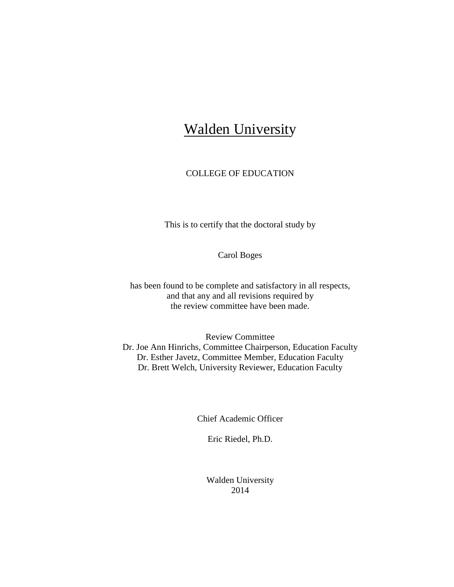## **Walden University**

### COLLEGE OF EDUCATION

This is to certify that the doctoral study by

Carol Boges

has been found to be complete and satisfactory in all respects, and that any and all revisions required by the review committee have been made.

Review Committee Dr. Joe Ann Hinrichs, Committee Chairperson, Education Faculty Dr. Esther Javetz, Committee Member, Education Faculty Dr. Brett Welch, University Reviewer, Education Faculty

Chief Academic Officer

Eric Riedel, Ph.D.

Walden University 2014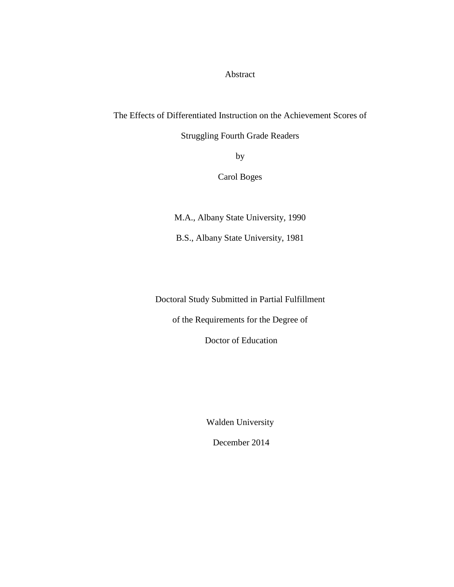Abstract

The Effects of Differentiated Instruction on the Achievement Scores of

Struggling Fourth Grade Readers

by

Carol Boges

M.A., Albany State University, 1990

B.S., Albany State University, 1981

Doctoral Study Submitted in Partial Fulfillment

of the Requirements for the Degree of

Doctor of Education

Walden University

December 2014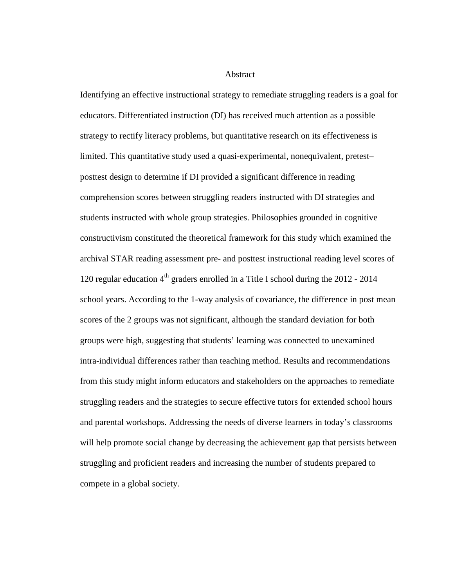Abstract

Identifying an effective instructional strategy to remediate struggling readers is a goal for educators. Differentiated instruction (DI) has received much attention as a possible strategy to rectify literacy problems, but quantitative research on its effectiveness is limited. This quantitative study used a quasi-experimental, nonequivalent, pretest– posttest design to determine if DI provided a significant difference in reading comprehension scores between struggling readers instructed with DI strategies and students instructed with whole group strategies. Philosophies grounded in cognitive constructivism constituted the theoretical framework for this study which examined the archival STAR reading assessment pre- and posttest instructional reading level scores of 120 regular education  $4<sup>th</sup>$  graders enrolled in a Title I school during the 2012 - 2014 school years. According to the 1-way analysis of covariance, the difference in post mean scores of the 2 groups was not significant, although the standard deviation for both groups were high, suggesting that students' learning was connected to unexamined intra-individual differences rather than teaching method. Results and recommendations from this study might inform educators and stakeholders on the approaches to remediate struggling readers and the strategies to secure effective tutors for extended school hours and parental workshops. Addressing the needs of diverse learners in today's classrooms will help promote social change by decreasing the achievement gap that persists between struggling and proficient readers and increasing the number of students prepared to compete in a global society.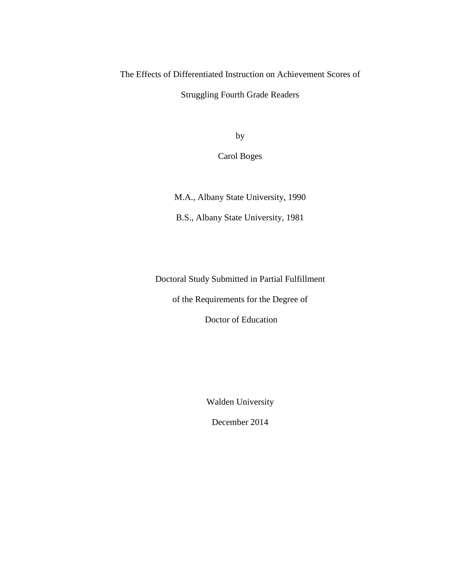The Effects of Differentiated Instruction on Achievement Scores of

Struggling Fourth Grade Readers

by

Carol Boges

M.A., Albany State University, 1990

B.S., Albany State University, 1981

Doctoral Study Submitted in Partial Fulfillment

of the Requirements for the Degree of

Doctor of Education

Walden University

December 2014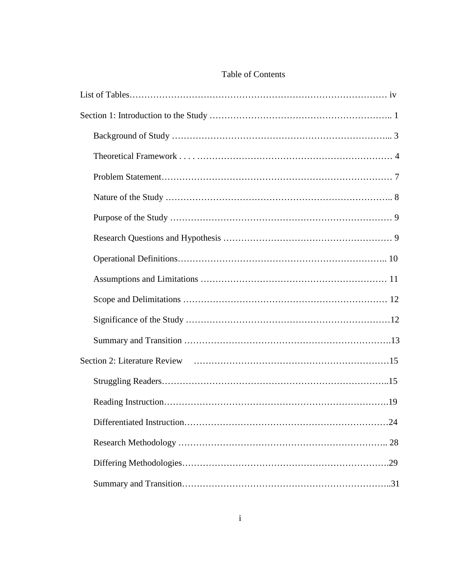### Table of Contents

| Differentiated Instruction<br>$2\pi$ |
|--------------------------------------|
|                                      |
|                                      |
|                                      |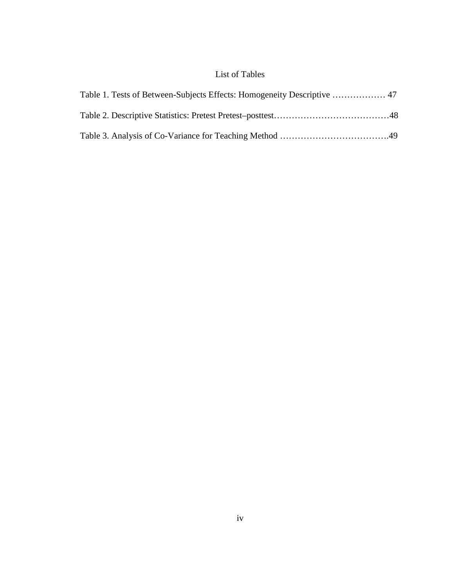## List of Tables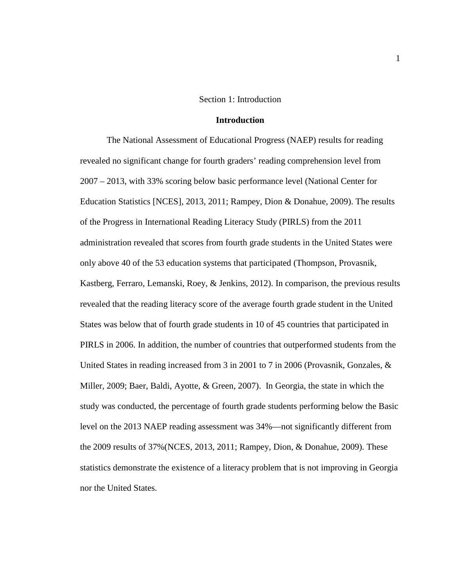#### Section 1: Introduction

#### **Introduction**

The National Assessment of Educational Progress (NAEP) results for reading revealed no significant change for fourth graders' reading comprehension level from 2007 – 2013, with 33% scoring below basic performance level (National Center for Education Statistics [NCES], 2013, 2011; Rampey, Dion & Donahue, 2009). The results of the Progress in International Reading Literacy Study (PIRLS) from the 2011 administration revealed that scores from fourth grade students in the United States were only above 40 of the 53 education systems that participated (Thompson, Provasnik, Kastberg, Ferraro, Lemanski, Roey, & Jenkins, 2012). In comparison, the previous results revealed that the reading literacy score of the average fourth grade student in the United States was below that of fourth grade students in 10 of 45 countries that participated in PIRLS in 2006. In addition, the number of countries that outperformed students from the United States in reading increased from 3 in 2001 to 7 in 2006 (Provasnik, Gonzales, & Miller, 2009; Baer, Baldi, Ayotte, & Green, 2007). In Georgia, the state in which the study was conducted, the percentage of fourth grade students performing below the Basic level on the 2013 NAEP reading assessment was 34%—not significantly different from the 2009 results of 37%(NCES, 2013, 2011; Rampey, Dion, & Donahue, 2009). These statistics demonstrate the existence of a literacy problem that is not improving in Georgia nor the United States.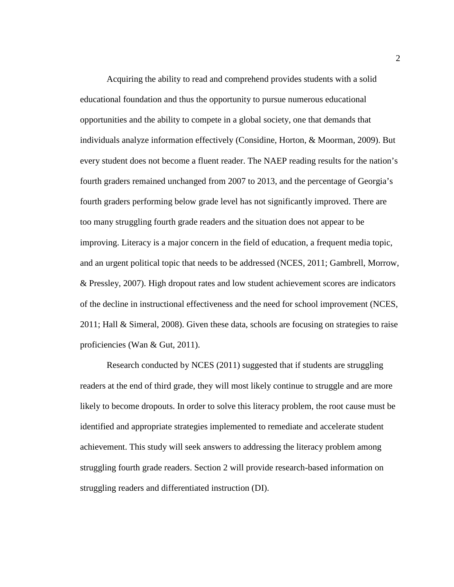Acquiring the ability to read and comprehend provides students with a solid educational foundation and thus the opportunity to pursue numerous educational opportunities and the ability to compete in a global society, one that demands that individuals analyze information effectively (Considine, Horton, & Moorman, 2009). But every student does not become a fluent reader. The NAEP reading results for the nation's fourth graders remained unchanged from 2007 to 2013, and the percentage of Georgia's fourth graders performing below grade level has not significantly improved. There are too many struggling fourth grade readers and the situation does not appear to be improving. Literacy is a major concern in the field of education, a frequent media topic, and an urgent political topic that needs to be addressed (NCES, 2011; Gambrell, Morrow, & Pressley, 2007). High dropout rates and low student achievement scores are indicators of the decline in instructional effectiveness and the need for school improvement (NCES, 2011; Hall & Simeral, 2008). Given these data, schools are focusing on strategies to raise proficiencies (Wan & Gut, 2011).

Research conducted by NCES (2011) suggested that if students are struggling readers at the end of third grade, they will most likely continue to struggle and are more likely to become dropouts. In order to solve this literacy problem, the root cause must be identified and appropriate strategies implemented to remediate and accelerate student achievement. This study will seek answers to addressing the literacy problem among struggling fourth grade readers. Section 2 will provide research-based information on struggling readers and differentiated instruction (DI).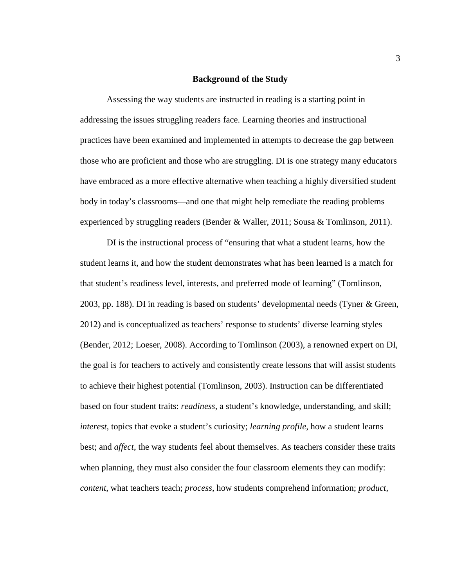#### **Background of the Study**

Assessing the way students are instructed in reading is a starting point in addressing the issues struggling readers face. Learning theories and instructional practices have been examined and implemented in attempts to decrease the gap between those who are proficient and those who are struggling. DI is one strategy many educators have embraced as a more effective alternative when teaching a highly diversified student body in today's classrooms—and one that might help remediate the reading problems experienced by struggling readers (Bender & Waller, 2011; Sousa & Tomlinson, 2011).

DI is the instructional process of "ensuring that what a student learns, how the student learns it, and how the student demonstrates what has been learned is a match for that student's readiness level, interests, and preferred mode of learning" (Tomlinson, 2003, pp. 188). DI in reading is based on students' developmental needs (Tyner & Green, 2012) and is conceptualized as teachers' response to students' diverse learning styles (Bender, 2012; Loeser, 2008). According to Tomlinson (2003), a renowned expert on DI, the goal is for teachers to actively and consistently create lessons that will assist students to achieve their highest potential (Tomlinson, 2003). Instruction can be differentiated based on four student traits: *readiness*, a student's knowledge, understanding, and skill; *interest*, topics that evoke a student's curiosity; *learning profile*, how a student learns best; and *affect*, the way students feel about themselves. As teachers consider these traits when planning, they must also consider the four classroom elements they can modify: *content*, what teachers teach; *process*, how students comprehend information; *product*,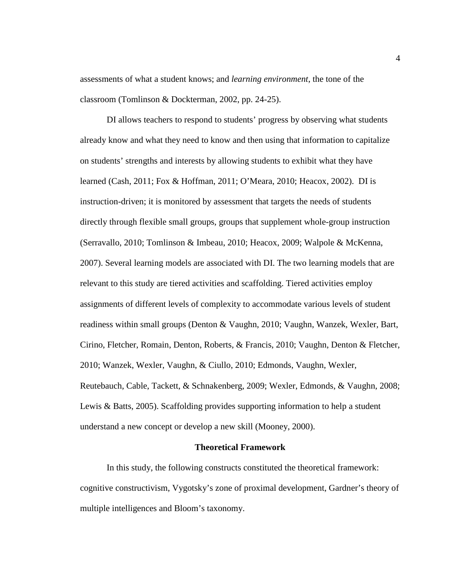assessments of what a student knows; and *learning environment*, the tone of the classroom (Tomlinson & Dockterman, 2002, pp. 24-25).

 DI allows teachers to respond to students' progress by observing what students already know and what they need to know and then using that information to capitalize on students' strengths and interests by allowing students to exhibit what they have learned (Cash, 2011; Fox & Hoffman, 2011; O'Meara, 2010; Heacox, 2002). DI is instruction-driven; it is monitored by assessment that targets the needs of students directly through flexible small groups, groups that supplement whole-group instruction (Serravallo, 2010; Tomlinson & Imbeau, 2010; Heacox, 2009; Walpole & McKenna, 2007). Several learning models are associated with DI. The two learning models that are relevant to this study are tiered activities and scaffolding. Tiered activities employ assignments of different levels of complexity to accommodate various levels of student readiness within small groups (Denton & Vaughn, 2010; Vaughn, Wanzek, Wexler, Bart, Cirino, Fletcher, Romain, Denton, Roberts, & Francis, 2010; Vaughn, Denton & Fletcher, 2010; Wanzek, Wexler, Vaughn, & Ciullo, 2010; Edmonds, Vaughn, Wexler, Reutebauch, Cable, Tackett, & Schnakenberg, 2009; Wexler, Edmonds, & Vaughn, 2008; Lewis & Batts, 2005). Scaffolding provides supporting information to help a student understand a new concept or develop a new skill (Mooney, 2000).

#### **Theoretical Framework**

 In this study, the following constructs constituted the theoretical framework: cognitive constructivism, Vygotsky's zone of proximal development, Gardner's theory of multiple intelligences and Bloom's taxonomy.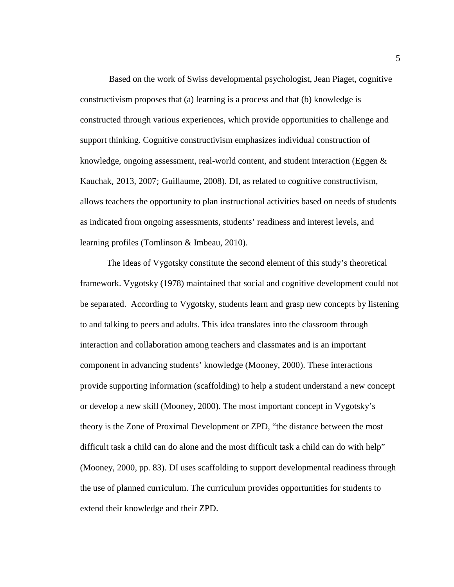Based on the work of Swiss developmental psychologist, Jean Piaget, cognitive constructivism proposes that (a) learning is a process and that (b) knowledge is constructed through various experiences, which provide opportunities to challenge and support thinking. Cognitive constructivism emphasizes individual construction of knowledge, ongoing assessment, real-world content, and student interaction (Eggen  $\&$ Kauchak, 2013, 2007; Guillaume, 2008). DI, as related to cognitive constructivism, allows teachers the opportunity to plan instructional activities based on needs of students as indicated from ongoing assessments, students' readiness and interest levels, and learning profiles (Tomlinson & Imbeau, 2010).

 The ideas of Vygotsky constitute the second element of this study's theoretical framework. Vygotsky (1978) maintained that social and cognitive development could not be separated. According to Vygotsky, students learn and grasp new concepts by listening to and talking to peers and adults. This idea translates into the classroom through interaction and collaboration among teachers and classmates and is an important component in advancing students' knowledge (Mooney, 2000). These interactions provide supporting information (scaffolding) to help a student understand a new concept or develop a new skill (Mooney, 2000). The most important concept in Vygotsky's theory is the Zone of Proximal Development or ZPD, "the distance between the most difficult task a child can do alone and the most difficult task a child can do with help" (Mooney, 2000, pp. 83). DI uses scaffolding to support developmental readiness through the use of planned curriculum. The curriculum provides opportunities for students to extend their knowledge and their ZPD.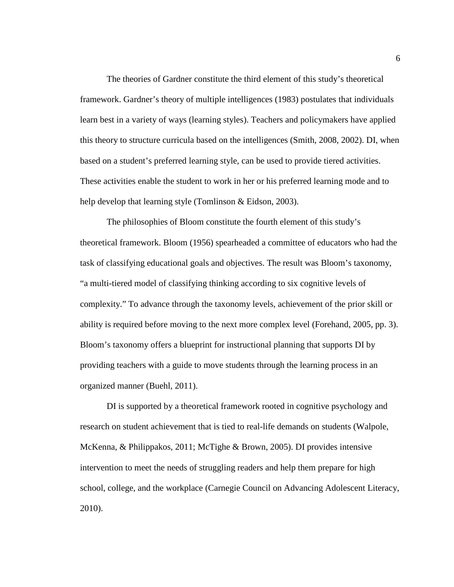The theories of Gardner constitute the third element of this study's theoretical framework. Gardner's theory of multiple intelligences (1983) postulates that individuals learn best in a variety of ways (learning styles). Teachers and policymakers have applied this theory to structure curricula based on the intelligences (Smith, 2008, 2002). DI, when based on a student's preferred learning style, can be used to provide tiered activities. These activities enable the student to work in her or his preferred learning mode and to help develop that learning style (Tomlinson & Eidson, 2003).

 The philosophies of Bloom constitute the fourth element of this study's theoretical framework. Bloom (1956) spearheaded a committee of educators who had the task of classifying educational goals and objectives. The result was Bloom's taxonomy, "a multi-tiered model of classifying thinking according to six cognitive levels of complexity." To advance through the taxonomy levels, achievement of the prior skill or ability is required before moving to the next more complex level (Forehand, 2005, pp. 3). Bloom's taxonomy offers a blueprint for instructional planning that supports DI by providing teachers with a guide to move students through the learning process in an organized manner (Buehl, 2011).

 DI is supported by a theoretical framework rooted in cognitive psychology and research on student achievement that is tied to real-life demands on students (Walpole, McKenna, & Philippakos, 2011; McTighe & Brown, 2005). DI provides intensive intervention to meet the needs of struggling readers and help them prepare for high school, college, and the workplace (Carnegie Council on Advancing Adolescent Literacy, 2010).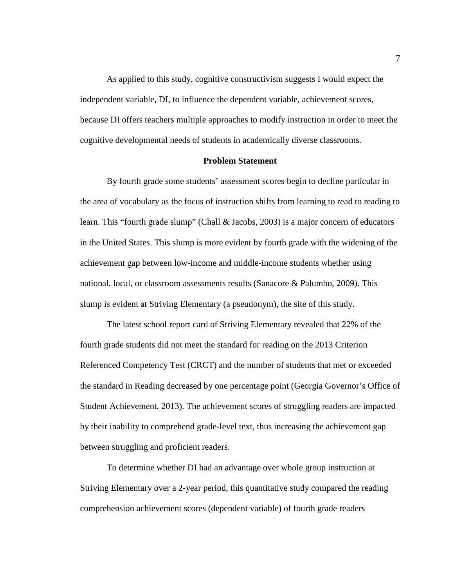As applied to this study, cognitive constructivism suggests I would expect the independent variable, DI, to influence the dependent variable, achievement scores, because DI offers teachers multiple approaches to modify instruction in order to meet the cognitive developmental needs of students in academically diverse classrooms.

#### **Problem Statement**

By fourth grade some students' assessment scores begin to decline particular in the area of vocabulary as the focus of instruction shifts from learning to read to reading to learn. This "fourth grade slump" (Chall & Jacobs, 2003) is a major concern of educators in the United States. This slump is more evident by fourth grade with the widening of the achievement gap between low-income and middle-income students whether using national, local, or classroom assessments results (Sanacore & Palumbo, 2009). This slump is evident at Striving Elementary (a pseudonym), the site of this study.

The latest school report card of Striving Elementary revealed that 22% of the fourth grade students did not meet the standard for reading on the 2013 Criterion Referenced Competency Test (CRCT) and the number of students that met or exceeded the standard in Reading decreased by one percentage point (Georgia Governor's Office of Student Achievement, 2013). The achievement scores of struggling readers are impacted by their inability to comprehend grade-level text, thus increasing the achievement gap between struggling and proficient readers.

To determine whether DI had an advantage over whole group instruction at Striving Elementary over a 2-year period, this quantitative study compared the reading comprehension achievement scores (dependent variable) of fourth grade readers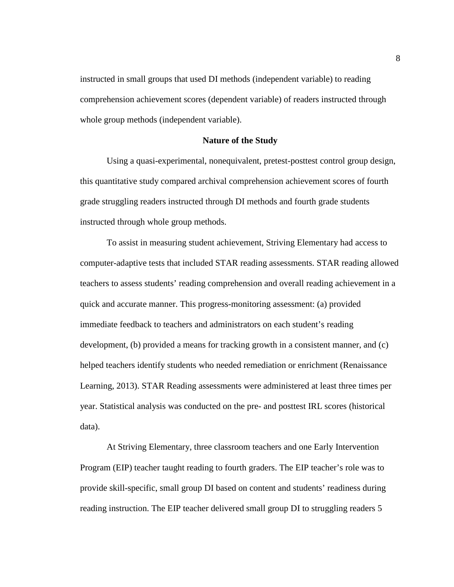instructed in small groups that used DI methods (independent variable) to reading comprehension achievement scores (dependent variable) of readers instructed through whole group methods (independent variable).

#### **Nature of the Study**

Using a quasi-experimental, nonequivalent, pretest-posttest control group design, this quantitative study compared archival comprehension achievement scores of fourth grade struggling readers instructed through DI methods and fourth grade students instructed through whole group methods.

 To assist in measuring student achievement, Striving Elementary had access to computer-adaptive tests that included STAR reading assessments. STAR reading allowed teachers to assess students' reading comprehension and overall reading achievement in a quick and accurate manner. This progress-monitoring assessment: (a) provided immediate feedback to teachers and administrators on each student's reading development, (b) provided a means for tracking growth in a consistent manner, and (c) helped teachers identify students who needed remediation or enrichment (Renaissance Learning, 2013). STAR Reading assessments were administered at least three times per year. Statistical analysis was conducted on the pre- and posttest IRL scores (historical data).

At Striving Elementary, three classroom teachers and one Early Intervention Program (EIP) teacher taught reading to fourth graders. The EIP teacher's role was to provide skill-specific, small group DI based on content and students' readiness during reading instruction. The EIP teacher delivered small group DI to struggling readers 5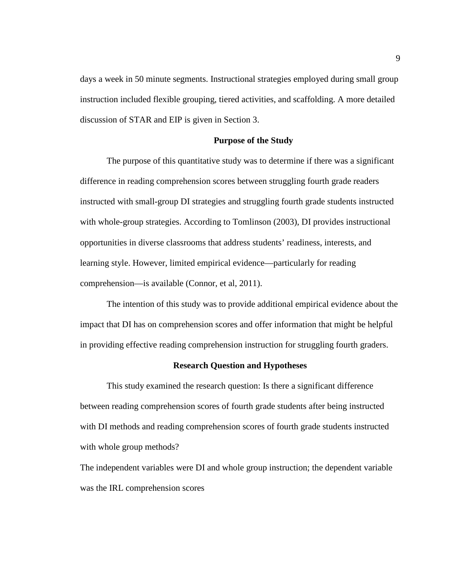days a week in 50 minute segments. Instructional strategies employed during small group instruction included flexible grouping, tiered activities, and scaffolding. A more detailed discussion of STAR and EIP is given in Section 3.

#### **Purpose of the Study**

The purpose of this quantitative study was to determine if there was a significant difference in reading comprehension scores between struggling fourth grade readers instructed with small-group DI strategies and struggling fourth grade students instructed with whole-group strategies. According to Tomlinson (2003), DI provides instructional opportunities in diverse classrooms that address students' readiness, interests, and learning style. However, limited empirical evidence—particularly for reading comprehension—is available (Connor, et al, 2011).

The intention of this study was to provide additional empirical evidence about the impact that DI has on comprehension scores and offer information that might be helpful in providing effective reading comprehension instruction for struggling fourth graders.

#### **Research Question and Hypotheses**

This study examined the research question: Is there a significant difference between reading comprehension scores of fourth grade students after being instructed with DI methods and reading comprehension scores of fourth grade students instructed with whole group methods?

The independent variables were DI and whole group instruction; the dependent variable was the IRL comprehension scores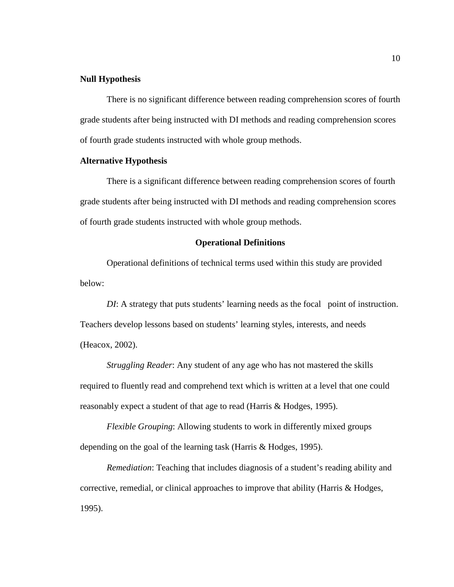#### **Null Hypothesis**

There is no significant difference between reading comprehension scores of fourth grade students after being instructed with DI methods and reading comprehension scores of fourth grade students instructed with whole group methods.

#### **Alternative Hypothesis**

There is a significant difference between reading comprehension scores of fourth grade students after being instructed with DI methods and reading comprehension scores of fourth grade students instructed with whole group methods.

#### **Operational Definitions**

Operational definitions of technical terms used within this study are provided below:

*DI*: A strategy that puts students' learning needs as the focal point of instruction. Teachers develop lessons based on students' learning styles, interests, and needs (Heacox, 2002).

*Struggling Reader*: Any student of any age who has not mastered the skills required to fluently read and comprehend text which is written at a level that one could reasonably expect a student of that age to read (Harris & Hodges, 1995).

*Flexible Grouping*: Allowing students to work in differently mixed groups depending on the goal of the learning task (Harris & Hodges, 1995).

*Remediation*: Teaching that includes diagnosis of a student's reading ability and corrective, remedial, or clinical approaches to improve that ability (Harris & Hodges, 1995).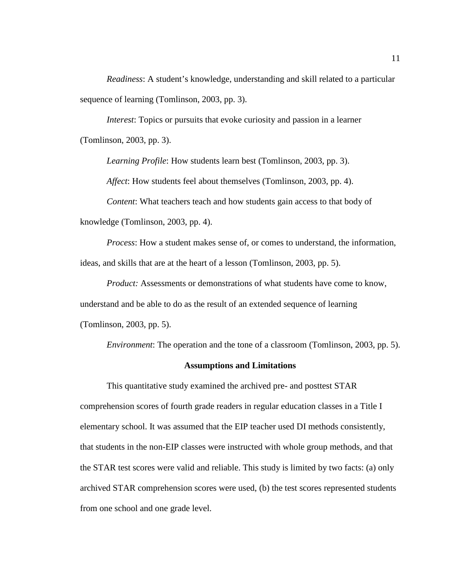*Readiness*: A student's knowledge, understanding and skill related to a particular sequence of learning (Tomlinson, 2003, pp. 3).

*Interest*: Topics or pursuits that evoke curiosity and passion in a learner (Tomlinson, 2003, pp. 3).

*Learning Profile*: How students learn best (Tomlinson, 2003, pp. 3).

*Affect*: How students feel about themselves (Tomlinson, 2003, pp. 4).

*Content*: What teachers teach and how students gain access to that body of knowledge (Tomlinson, 2003, pp. 4).

*Process*: How a student makes sense of, or comes to understand, the information, ideas, and skills that are at the heart of a lesson (Tomlinson, 2003, pp. 5).

*Product:* Assessments or demonstrations of what students have come to know, understand and be able to do as the result of an extended sequence of learning (Tomlinson, 2003, pp. 5).

*Environment*: The operation and the tone of a classroom (Tomlinson, 2003, pp. 5).

#### **Assumptions and Limitations**

This quantitative study examined the archived pre- and posttest STAR comprehension scores of fourth grade readers in regular education classes in a Title I elementary school. It was assumed that the EIP teacher used DI methods consistently, that students in the non-EIP classes were instructed with whole group methods, and that the STAR test scores were valid and reliable. This study is limited by two facts: (a) only archived STAR comprehension scores were used, (b) the test scores represented students from one school and one grade level.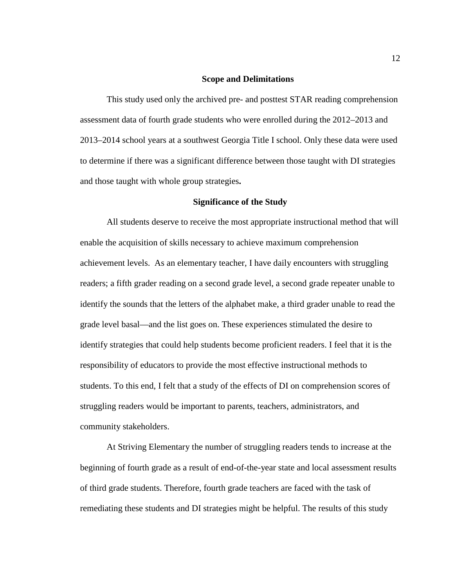#### **Scope and Delimitations**

 This study used only the archived pre- and posttest STAR reading comprehension assessment data of fourth grade students who were enrolled during the 2012–2013 and 2013–2014 school years at a southwest Georgia Title I school. Only these data were used to determine if there was a significant difference between those taught with DI strategies and those taught with whole group strategies**.** 

#### **Significance of the Study**

All students deserve to receive the most appropriate instructional method that will enable the acquisition of skills necessary to achieve maximum comprehension achievement levels. As an elementary teacher, I have daily encounters with struggling readers; a fifth grader reading on a second grade level, a second grade repeater unable to identify the sounds that the letters of the alphabet make, a third grader unable to read the grade level basal—and the list goes on. These experiences stimulated the desire to identify strategies that could help students become proficient readers. I feel that it is the responsibility of educators to provide the most effective instructional methods to students. To this end, I felt that a study of the effects of DI on comprehension scores of struggling readers would be important to parents, teachers, administrators, and community stakeholders.

At Striving Elementary the number of struggling readers tends to increase at the beginning of fourth grade as a result of end-of-the-year state and local assessment results of third grade students. Therefore, fourth grade teachers are faced with the task of remediating these students and DI strategies might be helpful. The results of this study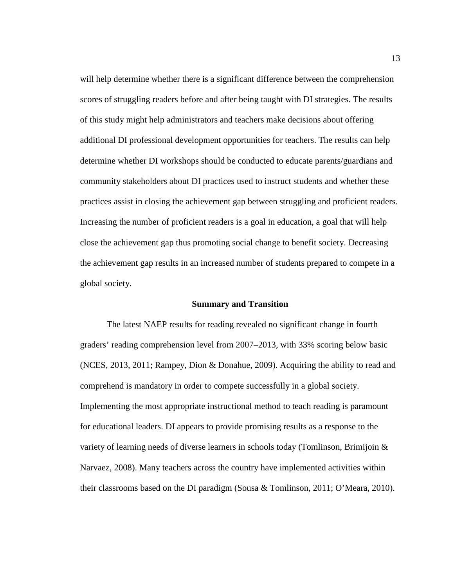will help determine whether there is a significant difference between the comprehension scores of struggling readers before and after being taught with DI strategies. The results of this study might help administrators and teachers make decisions about offering additional DI professional development opportunities for teachers. The results can help determine whether DI workshops should be conducted to educate parents/guardians and community stakeholders about DI practices used to instruct students and whether these practices assist in closing the achievement gap between struggling and proficient readers. Increasing the number of proficient readers is a goal in education, a goal that will help close the achievement gap thus promoting social change to benefit society. Decreasing the achievement gap results in an increased number of students prepared to compete in a global society.

#### **Summary and Transition**

The latest NAEP results for reading revealed no significant change in fourth graders' reading comprehension level from 2007–2013, with 33% scoring below basic (NCES, 2013, 2011; Rampey, Dion & Donahue, 2009). Acquiring the ability to read and comprehend is mandatory in order to compete successfully in a global society. Implementing the most appropriate instructional method to teach reading is paramount for educational leaders. DI appears to provide promising results as a response to the variety of learning needs of diverse learners in schools today (Tomlinson, Brimijoin & Narvaez, 2008). Many teachers across the country have implemented activities within their classrooms based on the DI paradigm (Sousa & Tomlinson, 2011; O'Meara, 2010).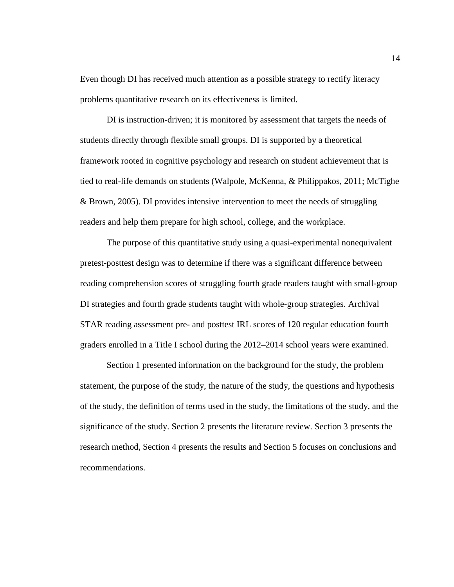Even though DI has received much attention as a possible strategy to rectify literacy problems quantitative research on its effectiveness is limited.

DI is instruction-driven; it is monitored by assessment that targets the needs of students directly through flexible small groups. DI is supported by a theoretical framework rooted in cognitive psychology and research on student achievement that is tied to real-life demands on students (Walpole, McKenna, & Philippakos, 2011; McTighe & Brown, 2005). DI provides intensive intervention to meet the needs of struggling readers and help them prepare for high school, college, and the workplace.

The purpose of this quantitative study using a quasi-experimental nonequivalent pretest-posttest design was to determine if there was a significant difference between reading comprehension scores of struggling fourth grade readers taught with small-group DI strategies and fourth grade students taught with whole-group strategies. Archival STAR reading assessment pre- and posttest IRL scores of 120 regular education fourth graders enrolled in a Title I school during the 2012–2014 school years were examined.

Section 1 presented information on the background for the study, the problem statement, the purpose of the study, the nature of the study, the questions and hypothesis of the study, the definition of terms used in the study, the limitations of the study, and the significance of the study. Section 2 presents the literature review. Section 3 presents the research method, Section 4 presents the results and Section 5 focuses on conclusions and recommendations.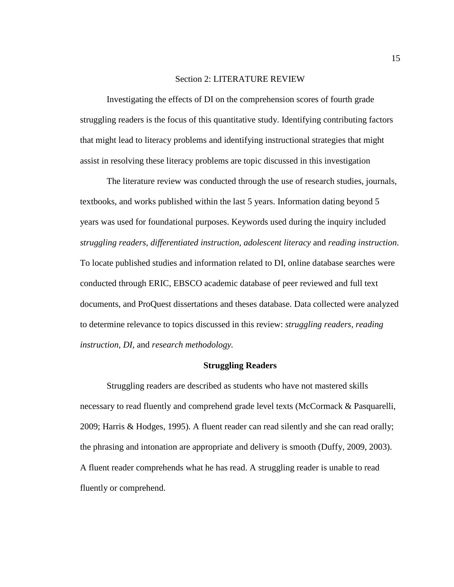#### Section 2: LITERATURE REVIEW

Investigating the effects of DI on the comprehension scores of fourth grade struggling readers is the focus of this quantitative study. Identifying contributing factors that might lead to literacy problems and identifying instructional strategies that might assist in resolving these literacy problems are topic discussed in this investigation

The literature review was conducted through the use of research studies, journals, textbooks, and works published within the last 5 years. Information dating beyond 5 years was used for foundational purposes. Keywords used during the inquiry included *struggling readers, differentiated instruction, adolescent literacy* and *reading instruction*. To locate published studies and information related to DI, online database searches were conducted through ERIC, EBSCO academic database of peer reviewed and full text documents, and ProQuest dissertations and theses database. Data collected were analyzed to determine relevance to topics discussed in this review: *struggling readers, reading instruction, DI,* and *research methodology.*

#### **Struggling Readers**

Struggling readers are described as students who have not mastered skills necessary to read fluently and comprehend grade level texts (McCormack & Pasquarelli, 2009; Harris & Hodges, 1995). A fluent reader can read silently and she can read orally; the phrasing and intonation are appropriate and delivery is smooth (Duffy, 2009, 2003). A fluent reader comprehends what he has read. A struggling reader is unable to read fluently or comprehend.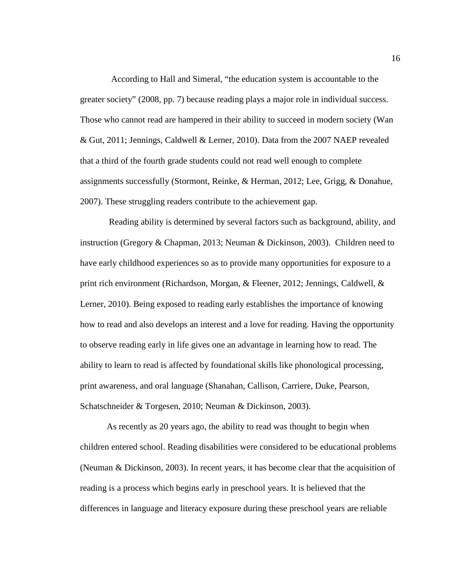According to Hall and Simeral, "the education system is accountable to the greater society" (2008, pp. 7) because reading plays a major role in individual success. Those who cannot read are hampered in their ability to succeed in modern society (Wan & Gut, 2011; Jennings, Caldwell & Lerner, 2010). Data from the 2007 NAEP revealed that a third of the fourth grade students could not read well enough to complete assignments successfully (Stormont, Reinke, & Herman, 2012; Lee, Grigg, & Donahue, 2007). These struggling readers contribute to the achievement gap.

 Reading ability is determined by several factors such as background, ability, and instruction (Gregory & Chapman, 2013; Neuman & Dickinson, 2003). Children need to have early childhood experiences so as to provide many opportunities for exposure to a print rich environment (Richardson, Morgan, & Fleener, 2012; Jennings, Caldwell, & Lerner, 2010). Being exposed to reading early establishes the importance of knowing how to read and also develops an interest and a love for reading. Having the opportunity to observe reading early in life gives one an advantage in learning how to read. The ability to learn to read is affected by foundational skills like phonological processing, print awareness, and oral language (Shanahan, Callison, Carriere, Duke, Pearson, Schatschneider & Torgesen, 2010; Neuman & Dickinson, 2003).

 As recently as 20 years ago, the ability to read was thought to begin when children entered school. Reading disabilities were considered to be educational problems (Neuman & Dickinson, 2003). In recent years, it has become clear that the acquisition of reading is a process which begins early in preschool years. It is believed that the differences in language and literacy exposure during these preschool years are reliable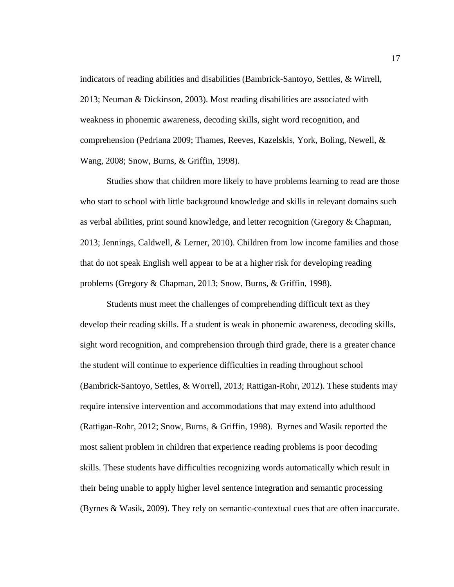indicators of reading abilities and disabilities (Bambrick-Santoyo, Settles, & Wirrell, 2013; Neuman & Dickinson, 2003). Most reading disabilities are associated with weakness in phonemic awareness, decoding skills, sight word recognition, and comprehension (Pedriana 2009; Thames, Reeves, Kazelskis, York, Boling, Newell, & Wang, 2008; Snow, Burns, & Griffin, 1998).

Studies show that children more likely to have problems learning to read are those who start to school with little background knowledge and skills in relevant domains such as verbal abilities, print sound knowledge, and letter recognition (Gregory & Chapman, 2013; Jennings, Caldwell, & Lerner, 2010). Children from low income families and those that do not speak English well appear to be at a higher risk for developing reading problems (Gregory & Chapman, 2013; Snow, Burns, & Griffin, 1998).

Students must meet the challenges of comprehending difficult text as they develop their reading skills. If a student is weak in phonemic awareness, decoding skills, sight word recognition, and comprehension through third grade, there is a greater chance the student will continue to experience difficulties in reading throughout school (Bambrick-Santoyo, Settles, & Worrell, 2013; Rattigan-Rohr, 2012). These students may require intensive intervention and accommodations that may extend into adulthood (Rattigan-Rohr, 2012; Snow, Burns, & Griffin, 1998). Byrnes and Wasik reported the most salient problem in children that experience reading problems is poor decoding skills. These students have difficulties recognizing words automatically which result in their being unable to apply higher level sentence integration and semantic processing (Byrnes & Wasik, 2009). They rely on semantic-contextual cues that are often inaccurate.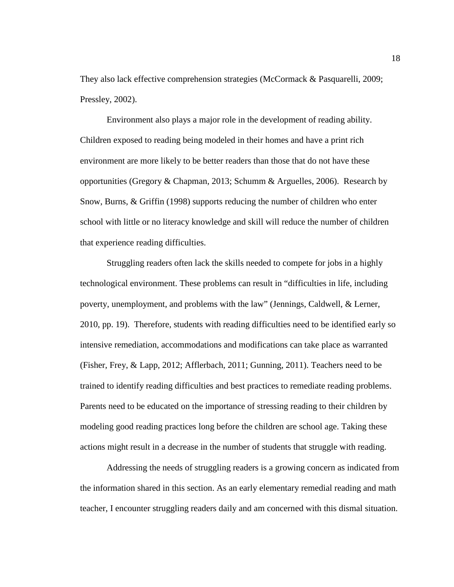They also lack effective comprehension strategies (McCormack & Pasquarelli, 2009; Pressley, 2002).

 Environment also plays a major role in the development of reading ability. Children exposed to reading being modeled in their homes and have a print rich environment are more likely to be better readers than those that do not have these opportunities (Gregory & Chapman, 2013; Schumm & Arguelles, 2006). Research by Snow, Burns, & Griffin (1998) supports reducing the number of children who enter school with little or no literacy knowledge and skill will reduce the number of children that experience reading difficulties.

 Struggling readers often lack the skills needed to compete for jobs in a highly technological environment. These problems can result in "difficulties in life, including poverty, unemployment, and problems with the law" (Jennings, Caldwell, & Lerner, 2010, pp. 19). Therefore, students with reading difficulties need to be identified early so intensive remediation, accommodations and modifications can take place as warranted (Fisher, Frey, & Lapp, 2012; Afflerbach, 2011; Gunning, 2011). Teachers need to be trained to identify reading difficulties and best practices to remediate reading problems. Parents need to be educated on the importance of stressing reading to their children by modeling good reading practices long before the children are school age. Taking these actions might result in a decrease in the number of students that struggle with reading.

 Addressing the needs of struggling readers is a growing concern as indicated from the information shared in this section. As an early elementary remedial reading and math teacher, I encounter struggling readers daily and am concerned with this dismal situation.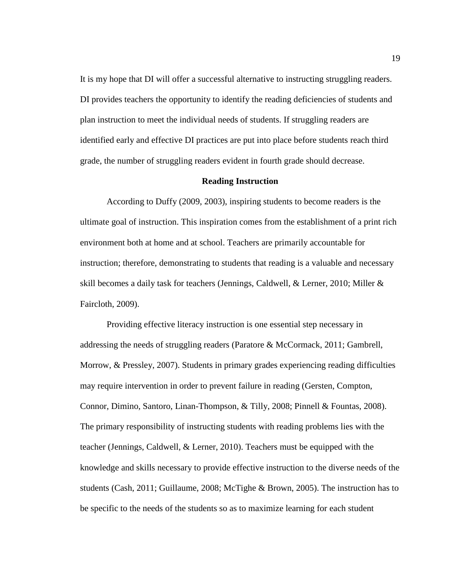It is my hope that DI will offer a successful alternative to instructing struggling readers. DI provides teachers the opportunity to identify the reading deficiencies of students and plan instruction to meet the individual needs of students. If struggling readers are identified early and effective DI practices are put into place before students reach third grade, the number of struggling readers evident in fourth grade should decrease.

#### **Reading Instruction**

According to Duffy (2009, 2003), inspiring students to become readers is the ultimate goal of instruction. This inspiration comes from the establishment of a print rich environment both at home and at school. Teachers are primarily accountable for instruction; therefore, demonstrating to students that reading is a valuable and necessary skill becomes a daily task for teachers (Jennings, Caldwell, & Lerner, 2010; Miller & Faircloth, 2009).

Providing effective literacy instruction is one essential step necessary in addressing the needs of struggling readers (Paratore & McCormack, 2011; Gambrell, Morrow, & Pressley, 2007). Students in primary grades experiencing reading difficulties may require intervention in order to prevent failure in reading (Gersten, Compton, Connor, Dimino, Santoro, Linan-Thompson, & Tilly, 2008; Pinnell & Fountas, 2008). The primary responsibility of instructing students with reading problems lies with the teacher (Jennings, Caldwell, & Lerner, 2010). Teachers must be equipped with the knowledge and skills necessary to provide effective instruction to the diverse needs of the students (Cash, 2011; Guillaume, 2008; McTighe & Brown, 2005). The instruction has to be specific to the needs of the students so as to maximize learning for each student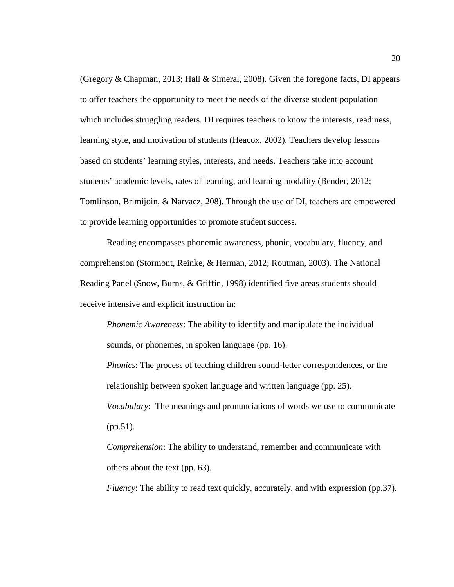(Gregory & Chapman, 2013; Hall & Simeral, 2008). Given the foregone facts, DI appears to offer teachers the opportunity to meet the needs of the diverse student population which includes struggling readers. DI requires teachers to know the interests, readiness, learning style, and motivation of students (Heacox, 2002). Teachers develop lessons based on students' learning styles, interests, and needs. Teachers take into account students' academic levels, rates of learning, and learning modality (Bender, 2012; Tomlinson, Brimijoin, & Narvaez, 208). Through the use of DI, teachers are empowered to provide learning opportunities to promote student success.

 Reading encompasses phonemic awareness, phonic, vocabulary, fluency, and comprehension (Stormont, Reinke, & Herman, 2012; Routman, 2003). The National Reading Panel (Snow, Burns, & Griffin, 1998) identified five areas students should receive intensive and explicit instruction in:

*Phonemic Awareness*: The ability to identify and manipulate the individual sounds, or phonemes, in spoken language (pp. 16).

*Phonics*: The process of teaching children sound-letter correspondences, or the relationship between spoken language and written language (pp. 25). *Vocabulary*: The meanings and pronunciations of words we use to communicate (pp.51).

*Comprehension*: The ability to understand, remember and communicate with others about the text (pp. 63).

*Fluency*: The ability to read text quickly, accurately, and with expression (pp.37).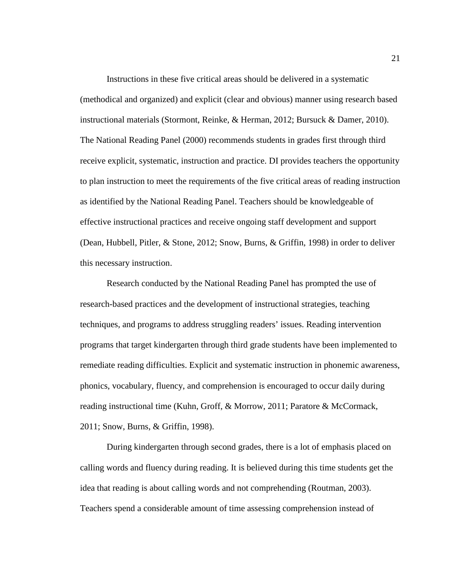Instructions in these five critical areas should be delivered in a systematic (methodical and organized) and explicit (clear and obvious) manner using research based instructional materials (Stormont, Reinke, & Herman, 2012; Bursuck & Damer, 2010). The National Reading Panel (2000) recommends students in grades first through third receive explicit, systematic, instruction and practice. DI provides teachers the opportunity to plan instruction to meet the requirements of the five critical areas of reading instruction as identified by the National Reading Panel. Teachers should be knowledgeable of effective instructional practices and receive ongoing staff development and support (Dean, Hubbell, Pitler, & Stone, 2012; Snow, Burns, & Griffin, 1998) in order to deliver this necessary instruction.

Research conducted by the National Reading Panel has prompted the use of research-based practices and the development of instructional strategies, teaching techniques, and programs to address struggling readers' issues. Reading intervention programs that target kindergarten through third grade students have been implemented to remediate reading difficulties. Explicit and systematic instruction in phonemic awareness, phonics, vocabulary, fluency, and comprehension is encouraged to occur daily during reading instructional time (Kuhn, Groff, & Morrow, 2011; Paratore & McCormack, 2011; Snow, Burns, & Griffin, 1998).

During kindergarten through second grades, there is a lot of emphasis placed on calling words and fluency during reading. It is believed during this time students get the idea that reading is about calling words and not comprehending (Routman, 2003). Teachers spend a considerable amount of time assessing comprehension instead of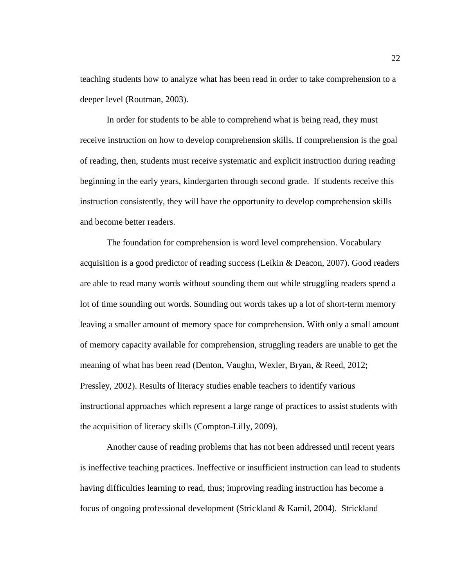teaching students how to analyze what has been read in order to take comprehension to a deeper level (Routman, 2003).

In order for students to be able to comprehend what is being read, they must receive instruction on how to develop comprehension skills. If comprehension is the goal of reading, then, students must receive systematic and explicit instruction during reading beginning in the early years, kindergarten through second grade. If students receive this instruction consistently, they will have the opportunity to develop comprehension skills and become better readers.

The foundation for comprehension is word level comprehension. Vocabulary acquisition is a good predictor of reading success (Leikin & Deacon, 2007). Good readers are able to read many words without sounding them out while struggling readers spend a lot of time sounding out words. Sounding out words takes up a lot of short-term memory leaving a smaller amount of memory space for comprehension. With only a small amount of memory capacity available for comprehension, struggling readers are unable to get the meaning of what has been read (Denton, Vaughn, Wexler, Bryan, & Reed, 2012; Pressley, 2002). Results of literacy studies enable teachers to identify various instructional approaches which represent a large range of practices to assist students with the acquisition of literacy skills (Compton-Lilly, 2009).

Another cause of reading problems that has not been addressed until recent years is ineffective teaching practices. Ineffective or insufficient instruction can lead to students having difficulties learning to read, thus; improving reading instruction has become a focus of ongoing professional development (Strickland & Kamil, 2004). Strickland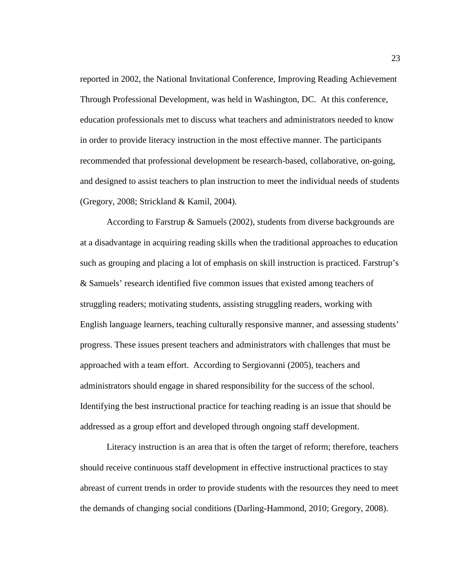reported in 2002, the National Invitational Conference, Improving Reading Achievement Through Professional Development, was held in Washington, DC. At this conference, education professionals met to discuss what teachers and administrators needed to know in order to provide literacy instruction in the most effective manner. The participants recommended that professional development be research-based, collaborative, on-going, and designed to assist teachers to plan instruction to meet the individual needs of students (Gregory, 2008; Strickland & Kamil, 2004).

 According to Farstrup & Samuels (2002), students from diverse backgrounds are at a disadvantage in acquiring reading skills when the traditional approaches to education such as grouping and placing a lot of emphasis on skill instruction is practiced. Farstrup's & Samuels' research identified five common issues that existed among teachers of struggling readers; motivating students, assisting struggling readers, working with English language learners, teaching culturally responsive manner, and assessing students' progress. These issues present teachers and administrators with challenges that must be approached with a team effort. According to Sergiovanni (2005), teachers and administrators should engage in shared responsibility for the success of the school. Identifying the best instructional practice for teaching reading is an issue that should be addressed as a group effort and developed through ongoing staff development.

Literacy instruction is an area that is often the target of reform; therefore, teachers should receive continuous staff development in effective instructional practices to stay abreast of current trends in order to provide students with the resources they need to meet the demands of changing social conditions (Darling-Hammond, 2010; Gregory, 2008).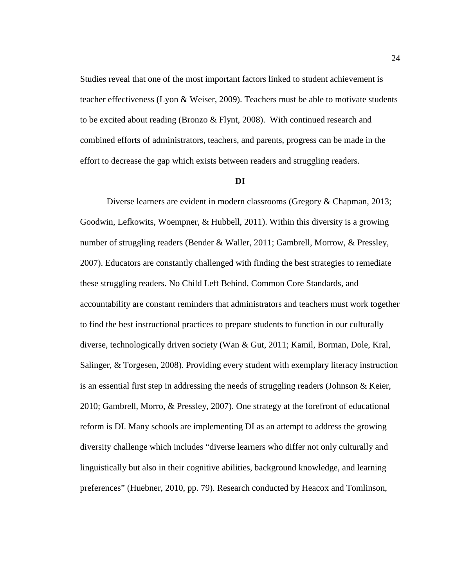Studies reveal that one of the most important factors linked to student achievement is teacher effectiveness (Lyon & Weiser, 2009). Teachers must be able to motivate students to be excited about reading (Bronzo & Flynt, 2008). With continued research and combined efforts of administrators, teachers, and parents, progress can be made in the effort to decrease the gap which exists between readers and struggling readers.

#### **DI**

 Diverse learners are evident in modern classrooms (Gregory & Chapman, 2013; Goodwin, Lefkowits, Woempner, & Hubbell, 2011). Within this diversity is a growing number of struggling readers (Bender & Waller, 2011; Gambrell, Morrow, & Pressley, 2007). Educators are constantly challenged with finding the best strategies to remediate these struggling readers. No Child Left Behind, Common Core Standards, and accountability are constant reminders that administrators and teachers must work together to find the best instructional practices to prepare students to function in our culturally diverse, technologically driven society (Wan & Gut, 2011; Kamil, Borman, Dole, Kral, Salinger, & Torgesen, 2008). Providing every student with exemplary literacy instruction is an essential first step in addressing the needs of struggling readers (Johnson & Keier, 2010; Gambrell, Morro, & Pressley, 2007). One strategy at the forefront of educational reform is DI. Many schools are implementing DI as an attempt to address the growing diversity challenge which includes "diverse learners who differ not only culturally and linguistically but also in their cognitive abilities, background knowledge, and learning preferences" (Huebner, 2010, pp. 79). Research conducted by Heacox and Tomlinson,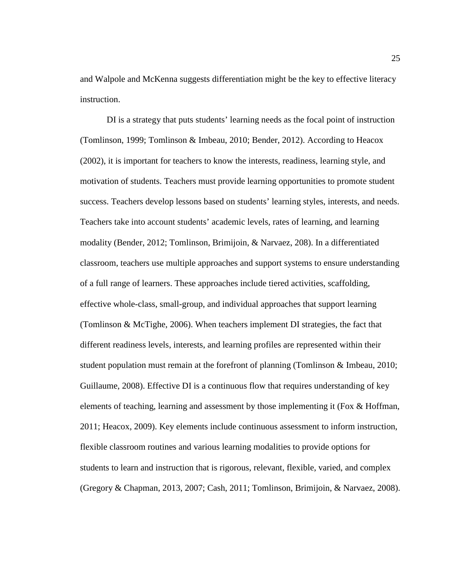and Walpole and McKenna suggests differentiation might be the key to effective literacy instruction.

DI is a strategy that puts students' learning needs as the focal point of instruction (Tomlinson, 1999; Tomlinson & Imbeau, 2010; Bender, 2012). According to Heacox (2002), it is important for teachers to know the interests, readiness, learning style, and motivation of students. Teachers must provide learning opportunities to promote student success. Teachers develop lessons based on students' learning styles, interests, and needs. Teachers take into account students' academic levels, rates of learning, and learning modality (Bender, 2012; Tomlinson, Brimijoin, & Narvaez, 208). In a differentiated classroom, teachers use multiple approaches and support systems to ensure understanding of a full range of learners. These approaches include tiered activities, scaffolding, effective whole-class, small-group, and individual approaches that support learning (Tomlinson & McTighe, 2006). When teachers implement DI strategies, the fact that different readiness levels, interests, and learning profiles are represented within their student population must remain at the forefront of planning (Tomlinson & Imbeau, 2010; Guillaume, 2008). Effective DI is a continuous flow that requires understanding of key elements of teaching, learning and assessment by those implementing it (Fox & Hoffman, 2011; Heacox, 2009). Key elements include continuous assessment to inform instruction, flexible classroom routines and various learning modalities to provide options for students to learn and instruction that is rigorous, relevant, flexible, varied, and complex (Gregory & Chapman, 2013, 2007; Cash, 2011; Tomlinson, Brimijoin, & Narvaez, 2008).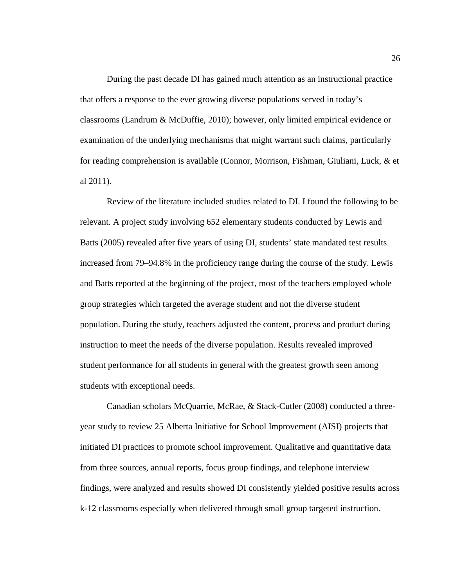During the past decade DI has gained much attention as an instructional practice that offers a response to the ever growing diverse populations served in today's classrooms (Landrum & McDuffie, 2010); however, only limited empirical evidence or examination of the underlying mechanisms that might warrant such claims, particularly for reading comprehension is available (Connor, Morrison, Fishman, Giuliani, Luck, & et al 2011).

 Review of the literature included studies related to DI. I found the following to be relevant. A project study involving 652 elementary students conducted by Lewis and Batts (2005) revealed after five years of using DI, students' state mandated test results increased from 79–94.8% in the proficiency range during the course of the study. Lewis and Batts reported at the beginning of the project, most of the teachers employed whole group strategies which targeted the average student and not the diverse student population. During the study, teachers adjusted the content, process and product during instruction to meet the needs of the diverse population. Results revealed improved student performance for all students in general with the greatest growth seen among students with exceptional needs.

 Canadian scholars McQuarrie, McRae, & Stack-Cutler (2008) conducted a threeyear study to review 25 Alberta Initiative for School Improvement (AISI) projects that initiated DI practices to promote school improvement. Qualitative and quantitative data from three sources, annual reports, focus group findings, and telephone interview findings, were analyzed and results showed DI consistently yielded positive results across k-12 classrooms especially when delivered through small group targeted instruction.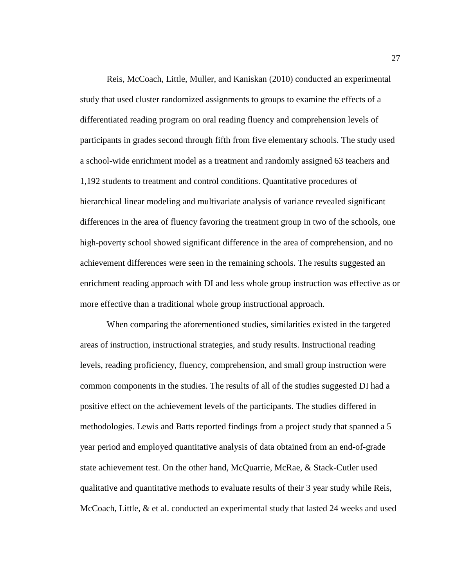Reis, McCoach, Little, Muller, and Kaniskan (2010) conducted an experimental study that used cluster randomized assignments to groups to examine the effects of a differentiated reading program on oral reading fluency and comprehension levels of participants in grades second through fifth from five elementary schools. The study used a school-wide enrichment model as a treatment and randomly assigned 63 teachers and 1,192 students to treatment and control conditions. Quantitative procedures of hierarchical linear modeling and multivariate analysis of variance revealed significant differences in the area of fluency favoring the treatment group in two of the schools, one high-poverty school showed significant difference in the area of comprehension, and no achievement differences were seen in the remaining schools. The results suggested an enrichment reading approach with DI and less whole group instruction was effective as or more effective than a traditional whole group instructional approach.

 When comparing the aforementioned studies, similarities existed in the targeted areas of instruction, instructional strategies, and study results. Instructional reading levels, reading proficiency, fluency, comprehension, and small group instruction were common components in the studies. The results of all of the studies suggested DI had a positive effect on the achievement levels of the participants. The studies differed in methodologies. Lewis and Batts reported findings from a project study that spanned a 5 year period and employed quantitative analysis of data obtained from an end-of-grade state achievement test. On the other hand, McQuarrie, McRae, & Stack-Cutler used qualitative and quantitative methods to evaluate results of their 3 year study while Reis, McCoach, Little, & et al. conducted an experimental study that lasted 24 weeks and used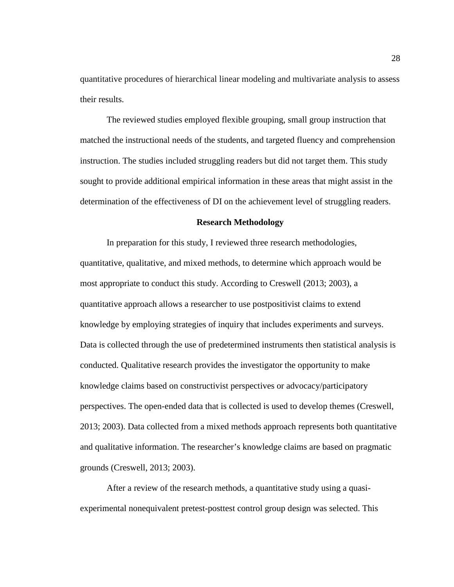quantitative procedures of hierarchical linear modeling and multivariate analysis to assess their results.

The reviewed studies employed flexible grouping, small group instruction that matched the instructional needs of the students, and targeted fluency and comprehension instruction. The studies included struggling readers but did not target them. This study sought to provide additional empirical information in these areas that might assist in the determination of the effectiveness of DI on the achievement level of struggling readers.

### **Research Methodology**

In preparation for this study, I reviewed three research methodologies, quantitative, qualitative, and mixed methods, to determine which approach would be most appropriate to conduct this study. According to Creswell (2013; 2003), a quantitative approach allows a researcher to use postpositivist claims to extend knowledge by employing strategies of inquiry that includes experiments and surveys. Data is collected through the use of predetermined instruments then statistical analysis is conducted. Qualitative research provides the investigator the opportunity to make knowledge claims based on constructivist perspectives or advocacy/participatory perspectives. The open-ended data that is collected is used to develop themes (Creswell, 2013; 2003). Data collected from a mixed methods approach represents both quantitative and qualitative information. The researcher's knowledge claims are based on pragmatic grounds (Creswell, 2013; 2003).

After a review of the research methods, a quantitative study using a quasiexperimental nonequivalent pretest-posttest control group design was selected. This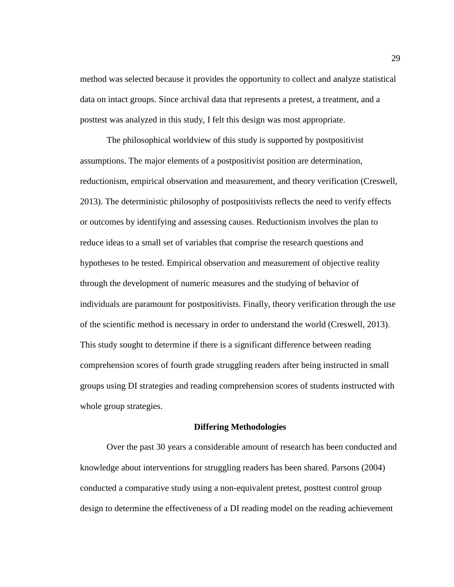method was selected because it provides the opportunity to collect and analyze statistical data on intact groups. Since archival data that represents a pretest, a treatment, and a posttest was analyzed in this study, I felt this design was most appropriate.

The philosophical worldview of this study is supported by postpositivist assumptions. The major elements of a postpositivist position are determination, reductionism, empirical observation and measurement, and theory verification (Creswell, 2013). The deterministic philosophy of postpositivists reflects the need to verify effects or outcomes by identifying and assessing causes. Reductionism involves the plan to reduce ideas to a small set of variables that comprise the research questions and hypotheses to be tested. Empirical observation and measurement of objective reality through the development of numeric measures and the studying of behavior of individuals are paramount for postpositivists. Finally, theory verification through the use of the scientific method is necessary in order to understand the world (Creswell, 2013). This study sought to determine if there is a significant difference between reading comprehension scores of fourth grade struggling readers after being instructed in small groups using DI strategies and reading comprehension scores of students instructed with whole group strategies.

#### **Differing Methodologies**

 Over the past 30 years a considerable amount of research has been conducted and knowledge about interventions for struggling readers has been shared. Parsons (2004) conducted a comparative study using a non-equivalent pretest, posttest control group design to determine the effectiveness of a DI reading model on the reading achievement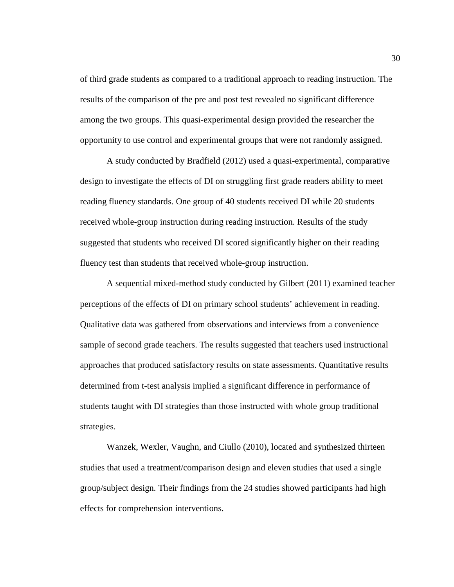of third grade students as compared to a traditional approach to reading instruction. The results of the comparison of the pre and post test revealed no significant difference among the two groups. This quasi-experimental design provided the researcher the opportunity to use control and experimental groups that were not randomly assigned.

 A study conducted by Bradfield (2012) used a quasi-experimental, comparative design to investigate the effects of DI on struggling first grade readers ability to meet reading fluency standards. One group of 40 students received DI while 20 students received whole-group instruction during reading instruction. Results of the study suggested that students who received DI scored significantly higher on their reading fluency test than students that received whole-group instruction.

A sequential mixed-method study conducted by Gilbert (2011) examined teacher perceptions of the effects of DI on primary school students' achievement in reading. Qualitative data was gathered from observations and interviews from a convenience sample of second grade teachers. The results suggested that teachers used instructional approaches that produced satisfactory results on state assessments. Quantitative results determined from t-test analysis implied a significant difference in performance of students taught with DI strategies than those instructed with whole group traditional strategies.

 Wanzek, Wexler, Vaughn, and Ciullo (2010), located and synthesized thirteen studies that used a treatment/comparison design and eleven studies that used a single group/subject design. Their findings from the 24 studies showed participants had high effects for comprehension interventions.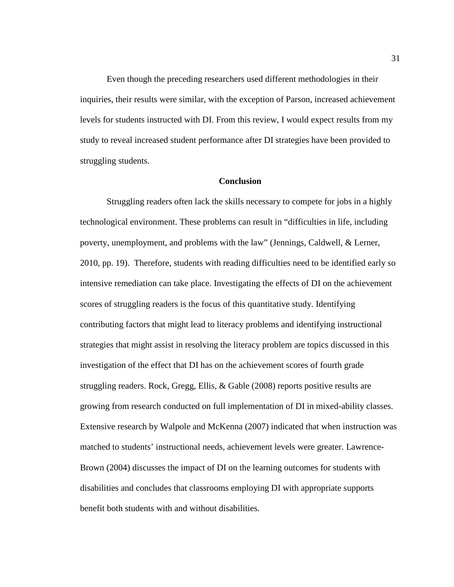Even though the preceding researchers used different methodologies in their inquiries, their results were similar, with the exception of Parson, increased achievement levels for students instructed with DI. From this review, I would expect results from my study to reveal increased student performance after DI strategies have been provided to struggling students.

### **Conclusion**

Struggling readers often lack the skills necessary to compete for jobs in a highly technological environment. These problems can result in "difficulties in life, including poverty, unemployment, and problems with the law" (Jennings, Caldwell, & Lerner, 2010, pp. 19). Therefore, students with reading difficulties need to be identified early so intensive remediation can take place. Investigating the effects of DI on the achievement scores of struggling readers is the focus of this quantitative study. Identifying contributing factors that might lead to literacy problems and identifying instructional strategies that might assist in resolving the literacy problem are topics discussed in this investigation of the effect that DI has on the achievement scores of fourth grade struggling readers. Rock, Gregg, Ellis, & Gable (2008) reports positive results are growing from research conducted on full implementation of DI in mixed-ability classes. Extensive research by Walpole and McKenna (2007) indicated that when instruction was matched to students' instructional needs, achievement levels were greater. Lawrence-Brown (2004) discusses the impact of DI on the learning outcomes for students with disabilities and concludes that classrooms employing DI with appropriate supports benefit both students with and without disabilities.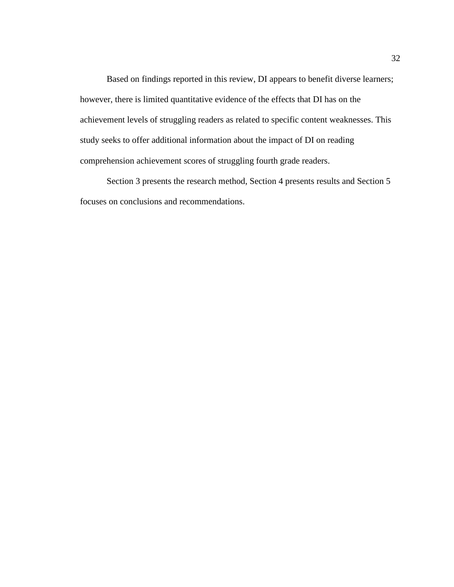Based on findings reported in this review, DI appears to benefit diverse learners; however, there is limited quantitative evidence of the effects that DI has on the achievement levels of struggling readers as related to specific content weaknesses. This study seeks to offer additional information about the impact of DI on reading comprehension achievement scores of struggling fourth grade readers.

Section 3 presents the research method, Section 4 presents results and Section 5 focuses on conclusions and recommendations.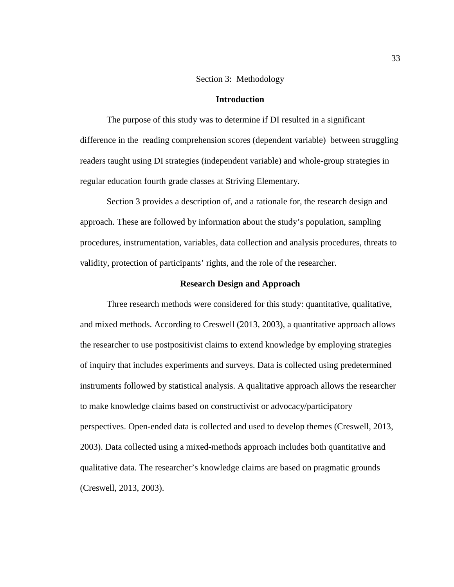### Section 3: Methodology

### **Introduction**

The purpose of this study was to determine if DI resulted in a significant difference in the reading comprehension scores (dependent variable) between struggling readers taught using DI strategies (independent variable) and whole-group strategies in regular education fourth grade classes at Striving Elementary.

Section 3 provides a description of, and a rationale for, the research design and approach. These are followed by information about the study's population, sampling procedures, instrumentation, variables, data collection and analysis procedures, threats to validity, protection of participants' rights, and the role of the researcher.

#### **Research Design and Approach**

Three research methods were considered for this study: quantitative, qualitative, and mixed methods. According to Creswell (2013, 2003), a quantitative approach allows the researcher to use postpositivist claims to extend knowledge by employing strategies of inquiry that includes experiments and surveys. Data is collected using predetermined instruments followed by statistical analysis. A qualitative approach allows the researcher to make knowledge claims based on constructivist or advocacy/participatory perspectives. Open-ended data is collected and used to develop themes (Creswell, 2013, 2003). Data collected using a mixed-methods approach includes both quantitative and qualitative data. The researcher's knowledge claims are based on pragmatic grounds (Creswell, 2013, 2003).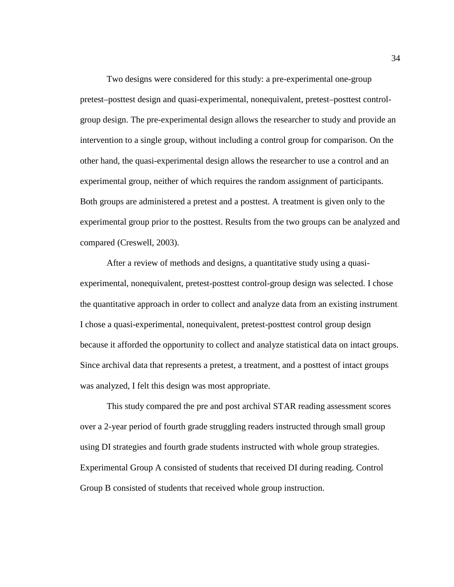Two designs were considered for this study: a pre-experimental one-group pretest–posttest design and quasi-experimental, nonequivalent, pretest–posttest controlgroup design. The pre-experimental design allows the researcher to study and provide an intervention to a single group, without including a control group for comparison. On the other hand, the quasi-experimental design allows the researcher to use a control and an experimental group, neither of which requires the random assignment of participants. Both groups are administered a pretest and a posttest. A treatment is given only to the experimental group prior to the posttest. Results from the two groups can be analyzed and compared (Creswell, 2003).

After a review of methods and designs, a quantitative study using a quasiexperimental, nonequivalent, pretest-posttest control-group design was selected. I chose the quantitative approach in order to collect and analyze data from an existing instrument. I chose a quasi-experimental, nonequivalent, pretest-posttest control group design because it afforded the opportunity to collect and analyze statistical data on intact groups. Since archival data that represents a pretest, a treatment, and a posttest of intact groups was analyzed, I felt this design was most appropriate.

This study compared the pre and post archival STAR reading assessment scores over a 2-year period of fourth grade struggling readers instructed through small group using DI strategies and fourth grade students instructed with whole group strategies. Experimental Group A consisted of students that received DI during reading. Control Group B consisted of students that received whole group instruction.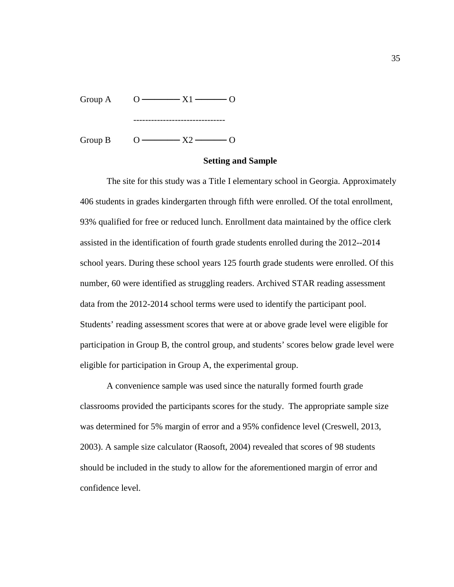| Group A | $  x_1$<br>$\left( \right)$            |  |
|---------|----------------------------------------|--|
|         |                                        |  |
| Group B | $- x^{\gamma}$<br>$\left( \ \right)$ – |  |

# **Setting and Sample**

The site for this study was a Title I elementary school in Georgia. Approximately 406 students in grades kindergarten through fifth were enrolled. Of the total enrollment, 93% qualified for free or reduced lunch. Enrollment data maintained by the office clerk assisted in the identification of fourth grade students enrolled during the 2012--2014 school years. During these school years 125 fourth grade students were enrolled. Of this number, 60 were identified as struggling readers. Archived STAR reading assessment data from the 2012-2014 school terms were used to identify the participant pool. Students' reading assessment scores that were at or above grade level were eligible for participation in Group B, the control group, and students' scores below grade level were eligible for participation in Group A, the experimental group.

A convenience sample was used since the naturally formed fourth grade classrooms provided the participants scores for the study. The appropriate sample size was determined for 5% margin of error and a 95% confidence level (Creswell, 2013, 2003). A sample size calculator (Raosoft, 2004) revealed that scores of 98 students should be included in the study to allow for the aforementioned margin of error and confidence level.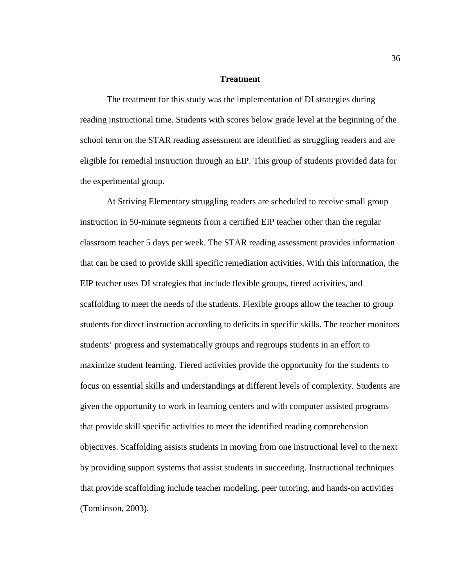### **Treatment**

 The treatment for this study was the implementation of DI strategies during reading instructional time. Students with scores below grade level at the beginning of the school term on the STAR reading assessment are identified as struggling readers and are eligible for remedial instruction through an EIP. This group of students provided data for the experimental group.

 At Striving Elementary struggling readers are scheduled to receive small group instruction in 50-minute segments from a certified EIP teacher other than the regular classroom teacher 5 days per week. The STAR reading assessment provides information that can be used to provide skill specific remediation activities. With this information, the EIP teacher uses DI strategies that include flexible groups, tiered activities, and scaffolding to meet the needs of the students. Flexible groups allow the teacher to group students for direct instruction according to deficits in specific skills. The teacher monitors students' progress and systematically groups and regroups students in an effort to maximize student learning. Tiered activities provide the opportunity for the students to focus on essential skills and understandings at different levels of complexity. Students are given the opportunity to work in learning centers and with computer assisted programs that provide skill specific activities to meet the identified reading comprehension objectives. Scaffolding assists students in moving from one instructional level to the next by providing support systems that assist students in succeeding. Instructional techniques that provide scaffolding include teacher modeling, peer tutoring, and hands-on activities (Tomlinson, 2003).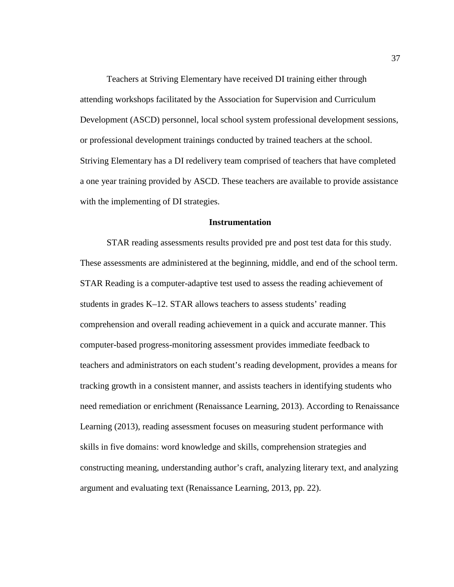Teachers at Striving Elementary have received DI training either through attending workshops facilitated by the Association for Supervision and Curriculum Development (ASCD) personnel, local school system professional development sessions, or professional development trainings conducted by trained teachers at the school. Striving Elementary has a DI redelivery team comprised of teachers that have completed a one year training provided by ASCD. These teachers are available to provide assistance with the implementing of DI strategies.

### **Instrumentation**

 STAR reading assessments results provided pre and post test data for this study. These assessments are administered at the beginning, middle, and end of the school term. STAR Reading is a computer-adaptive test used to assess the reading achievement of students in grades K–12. STAR allows teachers to assess students' reading comprehension and overall reading achievement in a quick and accurate manner. This computer-based progress-monitoring assessment provides immediate feedback to teachers and administrators on each student's reading development, provides a means for tracking growth in a consistent manner, and assists teachers in identifying students who need remediation or enrichment (Renaissance Learning, 2013). According to Renaissance Learning (2013), reading assessment focuses on measuring student performance with skills in five domains: word knowledge and skills, comprehension strategies and constructing meaning, understanding author's craft, analyzing literary text, and analyzing argument and evaluating text (Renaissance Learning, 2013, pp. 22).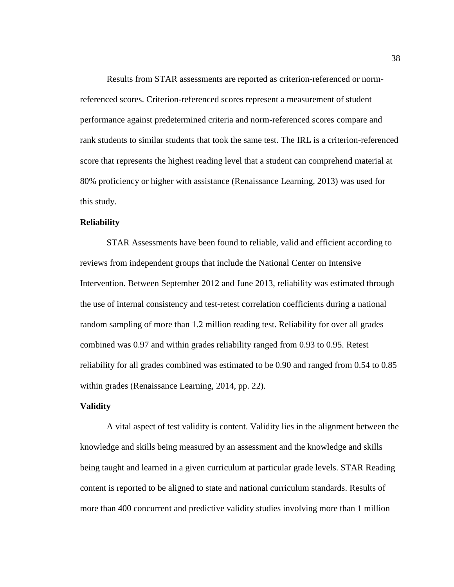Results from STAR assessments are reported as criterion-referenced or normreferenced scores. Criterion-referenced scores represent a measurement of student performance against predetermined criteria and norm-referenced scores compare and rank students to similar students that took the same test. The IRL is a criterion-referenced score that represents the highest reading level that a student can comprehend material at 80% proficiency or higher with assistance (Renaissance Learning, 2013) was used for this study.

# **Reliability**

 STAR Assessments have been found to reliable, valid and efficient according to reviews from independent groups that include the National Center on Intensive Intervention. Between September 2012 and June 2013, reliability was estimated through the use of internal consistency and test-retest correlation coefficients during a national random sampling of more than 1.2 million reading test. Reliability for over all grades combined was 0.97 and within grades reliability ranged from 0.93 to 0.95. Retest reliability for all grades combined was estimated to be 0.90 and ranged from 0.54 to 0.85 within grades (Renaissance Learning, 2014, pp. 22).

# **Validity**

 A vital aspect of test validity is content. Validity lies in the alignment between the knowledge and skills being measured by an assessment and the knowledge and skills being taught and learned in a given curriculum at particular grade levels. STAR Reading content is reported to be aligned to state and national curriculum standards. Results of more than 400 concurrent and predictive validity studies involving more than 1 million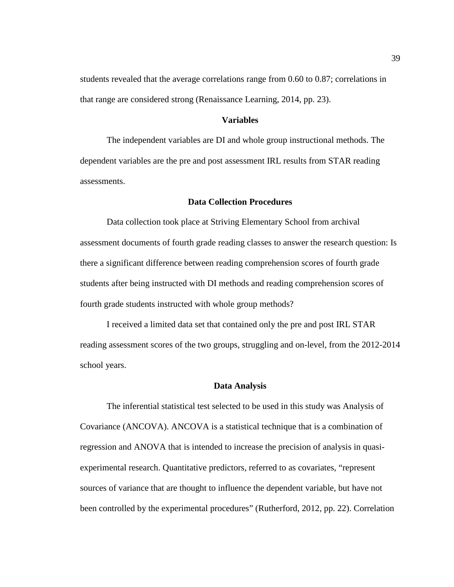students revealed that the average correlations range from 0.60 to 0.87; correlations in that range are considered strong (Renaissance Learning, 2014, pp. 23).

# **Variables**

The independent variables are DI and whole group instructional methods. The dependent variables are the pre and post assessment IRL results from STAR reading assessments.

### **Data Collection Procedures**

 Data collection took place at Striving Elementary School from archival assessment documents of fourth grade reading classes to answer the research question: Is there a significant difference between reading comprehension scores of fourth grade students after being instructed with DI methods and reading comprehension scores of fourth grade students instructed with whole group methods?

 I received a limited data set that contained only the pre and post IRL STAR reading assessment scores of the two groups, struggling and on-level, from the 2012-2014 school years.

#### **Data Analysis**

 The inferential statistical test selected to be used in this study was Analysis of Covariance (ANCOVA). ANCOVA is a statistical technique that is a combination of regression and ANOVA that is intended to increase the precision of analysis in quasiexperimental research. Quantitative predictors, referred to as covariates, "represent sources of variance that are thought to influence the dependent variable, but have not been controlled by the experimental procedures" (Rutherford, 2012, pp. 22). Correlation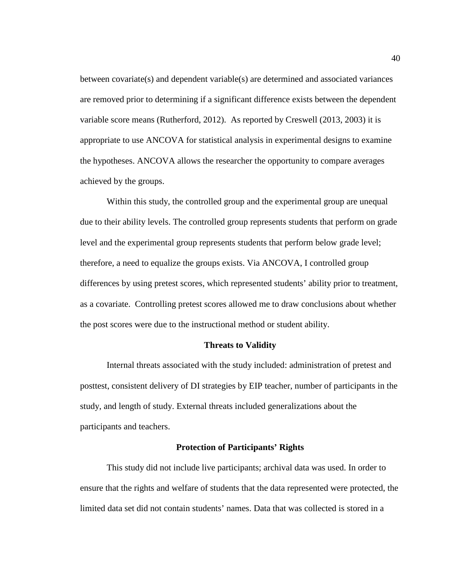between covariate(s) and dependent variable(s) are determined and associated variances are removed prior to determining if a significant difference exists between the dependent variable score means (Rutherford, 2012). As reported by Creswell (2013, 2003) it is appropriate to use ANCOVA for statistical analysis in experimental designs to examine the hypotheses. ANCOVA allows the researcher the opportunity to compare averages achieved by the groups.

 Within this study, the controlled group and the experimental group are unequal due to their ability levels. The controlled group represents students that perform on grade level and the experimental group represents students that perform below grade level; therefore, a need to equalize the groups exists. Via ANCOVA, I controlled group differences by using pretest scores, which represented students' ability prior to treatment, as a covariate. Controlling pretest scores allowed me to draw conclusions about whether the post scores were due to the instructional method or student ability.

## **Threats to Validity**

 Internal threats associated with the study included: administration of pretest and posttest, consistent delivery of DI strategies by EIP teacher, number of participants in the study, and length of study. External threats included generalizations about the participants and teachers.

# **Protection of Participants' Rights**

 This study did not include live participants; archival data was used. In order to ensure that the rights and welfare of students that the data represented were protected, the limited data set did not contain students' names. Data that was collected is stored in a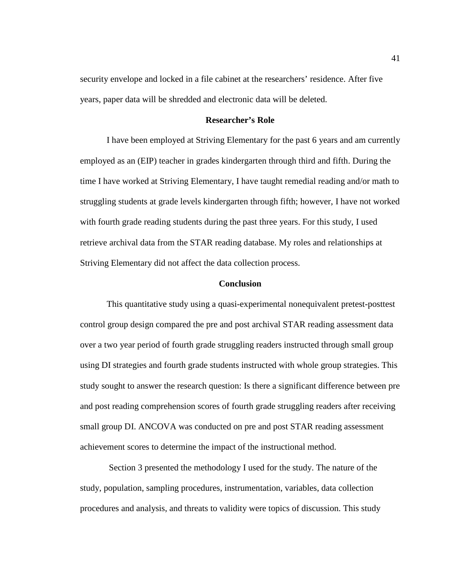security envelope and locked in a file cabinet at the researchers' residence. After five years, paper data will be shredded and electronic data will be deleted.

## **Researcher's Role**

 I have been employed at Striving Elementary for the past 6 years and am currently employed as an (EIP) teacher in grades kindergarten through third and fifth. During the time I have worked at Striving Elementary, I have taught remedial reading and/or math to struggling students at grade levels kindergarten through fifth; however, I have not worked with fourth grade reading students during the past three years. For this study, I used retrieve archival data from the STAR reading database. My roles and relationships at Striving Elementary did not affect the data collection process.

### **Conclusion**

This quantitative study using a quasi-experimental nonequivalent pretest-posttest control group design compared the pre and post archival STAR reading assessment data over a two year period of fourth grade struggling readers instructed through small group using DI strategies and fourth grade students instructed with whole group strategies. This study sought to answer the research question: Is there a significant difference between pre and post reading comprehension scores of fourth grade struggling readers after receiving small group DI. ANCOVA was conducted on pre and post STAR reading assessment achievement scores to determine the impact of the instructional method.

 Section 3 presented the methodology I used for the study. The nature of the study, population, sampling procedures, instrumentation, variables, data collection procedures and analysis, and threats to validity were topics of discussion. This study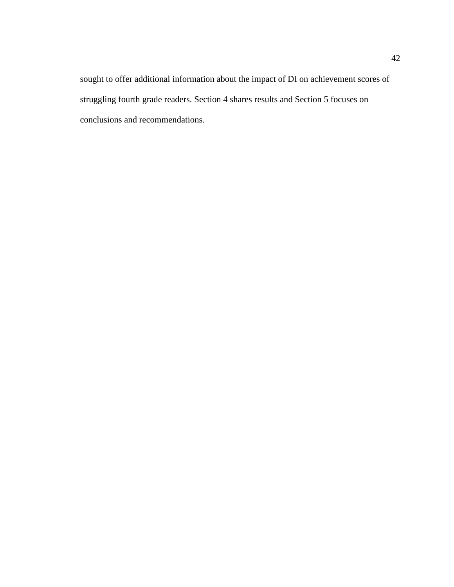sought to offer additional information about the impact of DI on achievement scores of struggling fourth grade readers. Section 4 shares results and Section 5 focuses on conclusions and recommendations.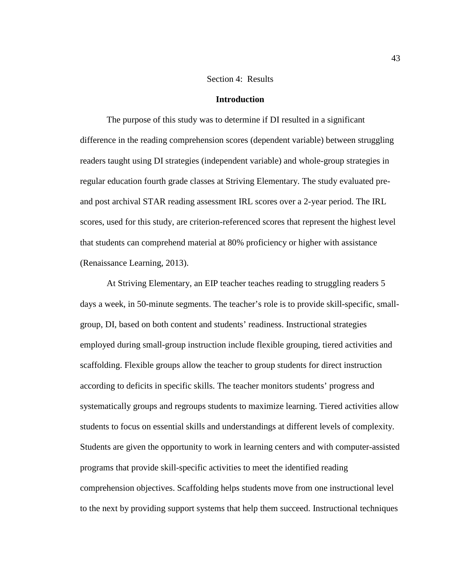### Section 4: Results

### **Introduction**

The purpose of this study was to determine if DI resulted in a significant difference in the reading comprehension scores (dependent variable) between struggling readers taught using DI strategies (independent variable) and whole-group strategies in regular education fourth grade classes at Striving Elementary. The study evaluated preand post archival STAR reading assessment IRL scores over a 2-year period. The IRL scores, used for this study, are criterion-referenced scores that represent the highest level that students can comprehend material at 80% proficiency or higher with assistance (Renaissance Learning, 2013).

 At Striving Elementary, an EIP teacher teaches reading to struggling readers 5 days a week, in 50-minute segments. The teacher's role is to provide skill-specific, smallgroup, DI, based on both content and students' readiness. Instructional strategies employed during small-group instruction include flexible grouping, tiered activities and scaffolding. Flexible groups allow the teacher to group students for direct instruction according to deficits in specific skills. The teacher monitors students' progress and systematically groups and regroups students to maximize learning. Tiered activities allow students to focus on essential skills and understandings at different levels of complexity. Students are given the opportunity to work in learning centers and with computer-assisted programs that provide skill-specific activities to meet the identified reading comprehension objectives. Scaffolding helps students move from one instructional level to the next by providing support systems that help them succeed. Instructional techniques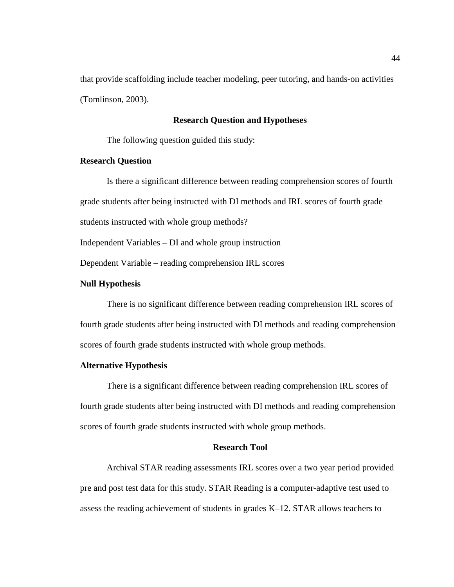that provide scaffolding include teacher modeling, peer tutoring, and hands-on activities (Tomlinson, 2003).

# **Research Question and Hypotheses**

The following question guided this study:

# **Research Question**

Is there a significant difference between reading comprehension scores of fourth grade students after being instructed with DI methods and IRL scores of fourth grade students instructed with whole group methods?

Independent Variables – DI and whole group instruction

Dependent Variable – reading comprehension IRL scores

### **Null Hypothesis**

There is no significant difference between reading comprehension IRL scores of fourth grade students after being instructed with DI methods and reading comprehension scores of fourth grade students instructed with whole group methods.

# **Alternative Hypothesis**

There is a significant difference between reading comprehension IRL scores of fourth grade students after being instructed with DI methods and reading comprehension scores of fourth grade students instructed with whole group methods.

#### **Research Tool**

 Archival STAR reading assessments IRL scores over a two year period provided pre and post test data for this study. STAR Reading is a computer-adaptive test used to assess the reading achievement of students in grades K–12. STAR allows teachers to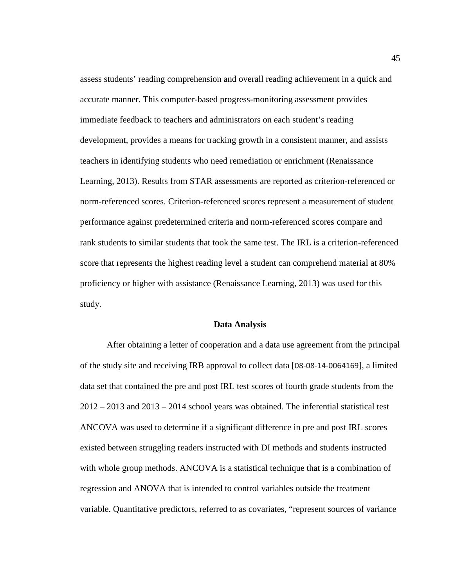assess students' reading comprehension and overall reading achievement in a quick and accurate manner. This computer-based progress-monitoring assessment provides immediate feedback to teachers and administrators on each student's reading development, provides a means for tracking growth in a consistent manner, and assists teachers in identifying students who need remediation or enrichment (Renaissance Learning, 2013). Results from STAR assessments are reported as criterion-referenced or norm-referenced scores. Criterion-referenced scores represent a measurement of student performance against predetermined criteria and norm-referenced scores compare and rank students to similar students that took the same test. The IRL is a criterion-referenced score that represents the highest reading level a student can comprehend material at 80% proficiency or higher with assistance (Renaissance Learning, 2013) was used for this study.

#### **Data Analysis**

 After obtaining a letter of cooperation and a data use agreement from the principal of the study site and receiving IRB approval to collect data [08-08-14-0064169], a limited data set that contained the pre and post IRL test scores of fourth grade students from the  $2012 - 2013$  and  $2013 - 2014$  school years was obtained. The inferential statistical test ANCOVA was used to determine if a significant difference in pre and post IRL scores existed between struggling readers instructed with DI methods and students instructed with whole group methods. ANCOVA is a statistical technique that is a combination of regression and ANOVA that is intended to control variables outside the treatment variable. Quantitative predictors, referred to as covariates, "represent sources of variance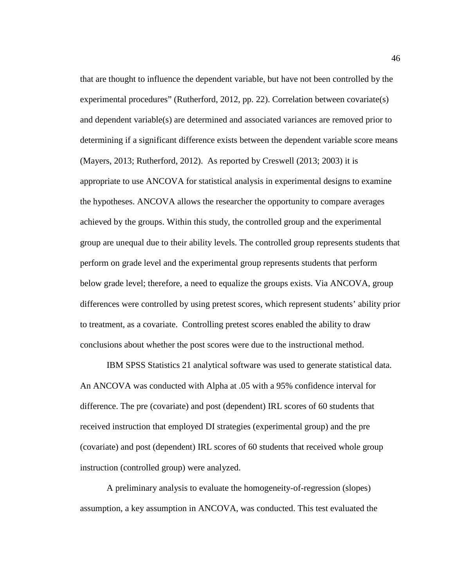that are thought to influence the dependent variable, but have not been controlled by the experimental procedures" (Rutherford, 2012, pp. 22). Correlation between covariate(s) and dependent variable(s) are determined and associated variances are removed prior to determining if a significant difference exists between the dependent variable score means (Mayers, 2013; Rutherford, 2012). As reported by Creswell (2013; 2003) it is appropriate to use ANCOVA for statistical analysis in experimental designs to examine the hypotheses. ANCOVA allows the researcher the opportunity to compare averages achieved by the groups. Within this study, the controlled group and the experimental group are unequal due to their ability levels. The controlled group represents students that perform on grade level and the experimental group represents students that perform below grade level; therefore, a need to equalize the groups exists. Via ANCOVA, group differences were controlled by using pretest scores, which represent students' ability prior to treatment, as a covariate. Controlling pretest scores enabled the ability to draw conclusions about whether the post scores were due to the instructional method.

IBM SPSS Statistics 21 analytical software was used to generate statistical data. An ANCOVA was conducted with Alpha at .05 with a 95% confidence interval for difference. The pre (covariate) and post (dependent) IRL scores of 60 students that received instruction that employed DI strategies (experimental group) and the pre (covariate) and post (dependent) IRL scores of 60 students that received whole group instruction (controlled group) were analyzed.

 A preliminary analysis to evaluate the homogeneity-of-regression (slopes) assumption, a key assumption in ANCOVA, was conducted. This test evaluated the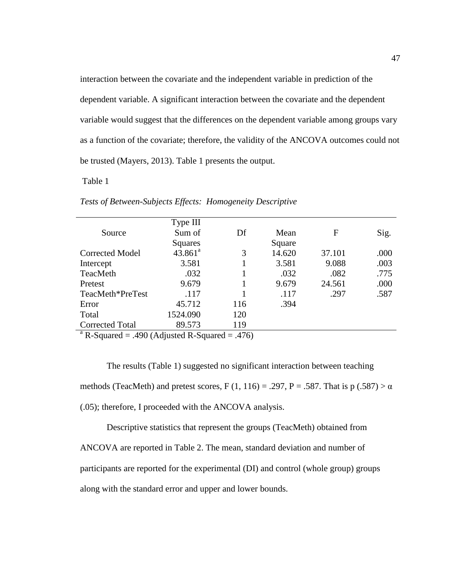interaction between the covariate and the independent variable in prediction of the dependent variable. A significant interaction between the covariate and the dependent variable would suggest that the differences on the dependent variable among groups vary as a function of the covariate; therefore, the validity of the ANCOVA outcomes could not be trusted (Mayers, 2013). Table 1 presents the output.

# Table 1

|                                                 | Type III   |     |        |        |      |  |
|-------------------------------------------------|------------|-----|--------|--------|------|--|
| Source                                          | Sum of     | Df  | Mean   | F      | Sig. |  |
|                                                 | Squares    |     | Square |        |      |  |
| <b>Corrected Model</b>                          | $43.861^a$ | 3   | 14.620 | 37.101 | .000 |  |
| Intercept                                       | 3.581      |     | 3.581  | 9.088  | .003 |  |
| TeacMeth                                        | .032       |     | .032   | .082   | .775 |  |
| Pretest                                         | 9.679      |     | 9.679  | 24.561 | .000 |  |
| TeacMeth*PreTest                                | .117       |     | .117   | .297   | .587 |  |
| Error                                           | 45.712     | 116 | .394   |        |      |  |
| Total                                           | 1524.090   | 120 |        |        |      |  |
| <b>Corrected Total</b>                          | 89.573     | 119 |        |        |      |  |
| $^a$ D Squared – 400 (Adjusted D Squared – 476) |            |     |        |        |      |  |

*Tests of Between-Subjects Effects: Homogeneity Descriptive* 

R-Squared  $= .490$  (Adjusted R-Squared  $= .476$ )

The results (Table 1) suggested no significant interaction between teaching methods (TeacMeth) and pretest scores, F (1, 116) = .297, P = .587. That is  $p(.587) > \alpha$ (.05); therefore, I proceeded with the ANCOVA analysis.

 Descriptive statistics that represent the groups (TeacMeth) obtained from ANCOVA are reported in Table 2. The mean, standard deviation and number of participants are reported for the experimental (DI) and control (whole group) groups along with the standard error and upper and lower bounds.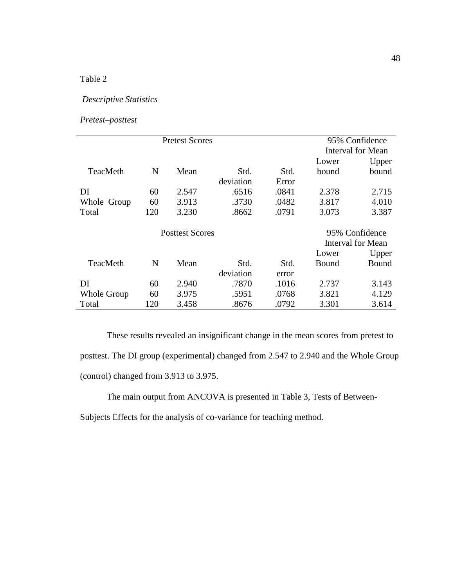# Table 2

# *Descriptive Statistics*

*Pretest–posttest* 

| <b>Pretest Scores</b>  |     |       |           | 95% Confidence           |                   |       |
|------------------------|-----|-------|-----------|--------------------------|-------------------|-------|
|                        |     |       |           | <b>Interval for Mean</b> |                   |       |
|                        |     |       |           |                          | Lower             | Upper |
| TeacMeth               | N   | Mean  | Std.      | Std.                     | bound             | bound |
|                        |     |       | deviation | Error                    |                   |       |
| DI                     | 60  | 2.547 | .6516     | .0841                    | 2.378             | 2.715 |
| Whole Group            | 60  | 3.913 | .3730     | .0482                    | 3.817             | 4.010 |
| Total                  | 120 | 3.230 | .8662     | .0791                    | 3.073             | 3.387 |
| <b>Posttest Scores</b> |     |       |           |                          | 95% Confidence    |       |
|                        |     |       |           |                          | Interval for Mean |       |
|                        |     |       |           |                          | Lower             | Upper |
| TeacMeth               | N   | Mean  | Std.      | Std.                     | Bound             | Bound |
|                        |     |       | deviation | error                    |                   |       |
| DI                     | 60  | 2.940 | .7870     | .1016                    | 2.737             | 3.143 |
| Whole Group            | 60  | 3.975 | .5951     | .0768                    | 3.821             | 4.129 |
| Total                  | 120 | 3.458 | .8676     | .0792                    | 3.301             | 3.614 |

 These results revealed an insignificant change in the mean scores from pretest to posttest. The DI group (experimental) changed from 2.547 to 2.940 and the Whole Group (control) changed from 3.913 to 3.975.

The main output from ANCOVA is presented in Table 3, Tests of Between-

Subjects Effects for the analysis of co-variance for teaching method.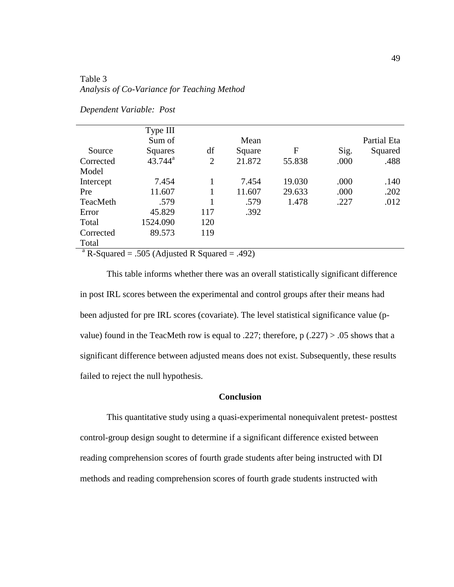# Table 3 *Analysis of Co-Variance for Teaching Method*

| Dependent Variable: Post |  |  |
|--------------------------|--|--|
|--------------------------|--|--|

|                                                 | Type III   |                |        |        |      |             |
|-------------------------------------------------|------------|----------------|--------|--------|------|-------------|
|                                                 | Sum of     |                | Mean   |        |      | Partial Eta |
| Source                                          | Squares    | df             | Square | F      | Sig. | Squared     |
| Corrected                                       | $43.744^a$ | $\overline{2}$ | 21.872 | 55.838 | .000 | .488        |
| Model                                           |            |                |        |        |      |             |
| Intercept                                       | 7.454      |                | 7.454  | 19.030 | .000 | .140        |
| Pre                                             | 11.607     |                | 11.607 | 29.633 | .000 | .202        |
| TeacMeth                                        | .579       |                | .579   | 1.478  | .227 | .012        |
| Error                                           | 45.829     | 117            | .392   |        |      |             |
| Total                                           | 1524.090   | 120            |        |        |      |             |
| Corrected                                       | 89.573     | 119            |        |        |      |             |
| Total                                           |            |                |        |        |      |             |
| $^a$ D Squared – 505 (Adjusted D Squared – 402) |            |                |        |        |      |             |

R-Squared  $= .505$  (Adjusted R Squared  $= .492$ )

 This table informs whether there was an overall statistically significant difference in post IRL scores between the experimental and control groups after their means had been adjusted for pre IRL scores (covariate). The level statistical significance value (pvalue) found in the TeacMeth row is equal to .227; therefore,  $p(.227) > .05$  shows that a significant difference between adjusted means does not exist. Subsequently, these results failed to reject the null hypothesis.

# **Conclusion**

 This quantitative study using a quasi-experimental nonequivalent pretest- posttest control-group design sought to determine if a significant difference existed between reading comprehension scores of fourth grade students after being instructed with DI methods and reading comprehension scores of fourth grade students instructed with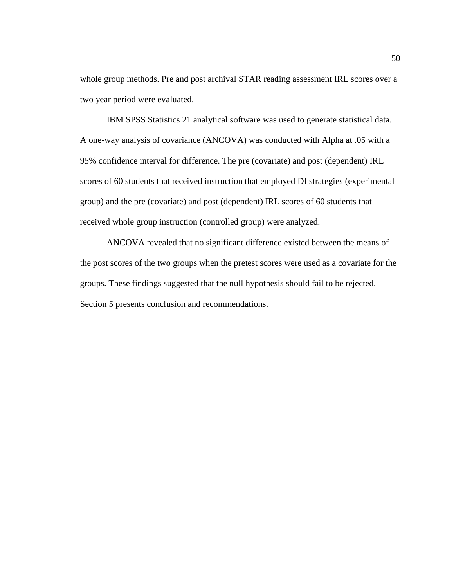whole group methods. Pre and post archival STAR reading assessment IRL scores over a two year period were evaluated.

 IBM SPSS Statistics 21 analytical software was used to generate statistical data. A one-way analysis of covariance (ANCOVA) was conducted with Alpha at .05 with a 95% confidence interval for difference. The pre (covariate) and post (dependent) IRL scores of 60 students that received instruction that employed DI strategies (experimental group) and the pre (covariate) and post (dependent) IRL scores of 60 students that received whole group instruction (controlled group) were analyzed.

 ANCOVA revealed that no significant difference existed between the means of the post scores of the two groups when the pretest scores were used as a covariate for the groups. These findings suggested that the null hypothesis should fail to be rejected. Section 5 presents conclusion and recommendations.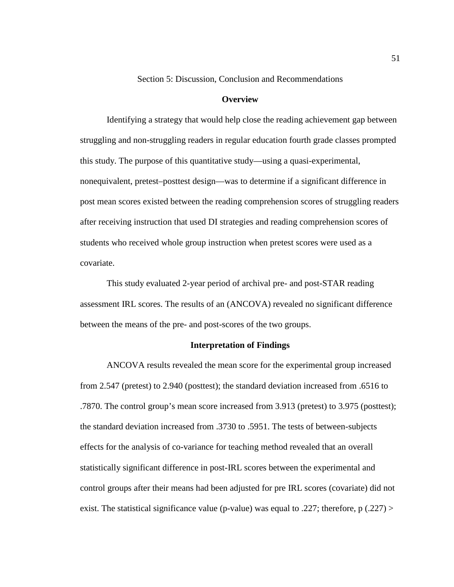Section 5: Discussion, Conclusion and Recommendations

### **Overview**

 Identifying a strategy that would help close the reading achievement gap between struggling and non-struggling readers in regular education fourth grade classes prompted this study. The purpose of this quantitative study—using a quasi-experimental, nonequivalent, pretest–posttest design—was to determine if a significant difference in post mean scores existed between the reading comprehension scores of struggling readers after receiving instruction that used DI strategies and reading comprehension scores of students who received whole group instruction when pretest scores were used as a covariate.

 This study evaluated 2-year period of archival pre- and post-STAR reading assessment IRL scores. The results of an (ANCOVA) revealed no significant difference between the means of the pre- and post-scores of the two groups.

## **Interpretation of Findings**

 ANCOVA results revealed the mean score for the experimental group increased from 2.547 (pretest) to 2.940 (posttest); the standard deviation increased from .6516 to .7870. The control group's mean score increased from 3.913 (pretest) to 3.975 (posttest); the standard deviation increased from .3730 to .5951. The tests of between-subjects effects for the analysis of co-variance for teaching method revealed that an overall statistically significant difference in post-IRL scores between the experimental and control groups after their means had been adjusted for pre IRL scores (covariate) did not exist. The statistical significance value (p-value) was equal to .227; therefore, p  $(.227)$  >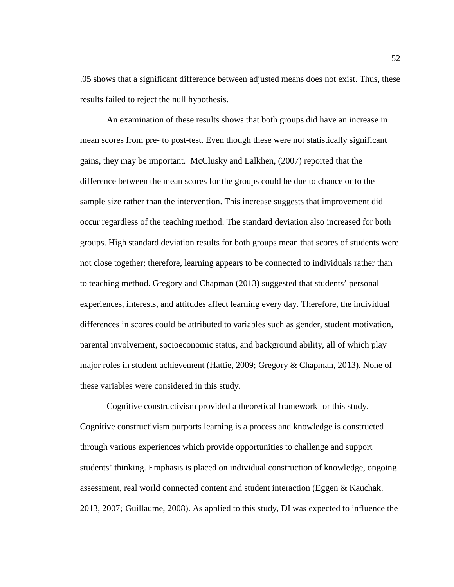.05 shows that a significant difference between adjusted means does not exist. Thus, these results failed to reject the null hypothesis.

An examination of these results shows that both groups did have an increase in mean scores from pre- to post-test. Even though these were not statistically significant gains, they may be important. McClusky and Lalkhen, (2007) reported that the difference between the mean scores for the groups could be due to chance or to the sample size rather than the intervention. This increase suggests that improvement did occur regardless of the teaching method. The standard deviation also increased for both groups. High standard deviation results for both groups mean that scores of students were not close together; therefore, learning appears to be connected to individuals rather than to teaching method. Gregory and Chapman (2013) suggested that students' personal experiences, interests, and attitudes affect learning every day. Therefore, the individual differences in scores could be attributed to variables such as gender, student motivation, parental involvement, socioeconomic status, and background ability, all of which play major roles in student achievement (Hattie, 2009; Gregory & Chapman, 2013). None of these variables were considered in this study.

Cognitive constructivism provided a theoretical framework for this study. Cognitive constructivism purports learning is a process and knowledge is constructed through various experiences which provide opportunities to challenge and support students' thinking. Emphasis is placed on individual construction of knowledge, ongoing assessment, real world connected content and student interaction (Eggen & Kauchak, 2013, 2007; Guillaume, 2008). As applied to this study, DI was expected to influence the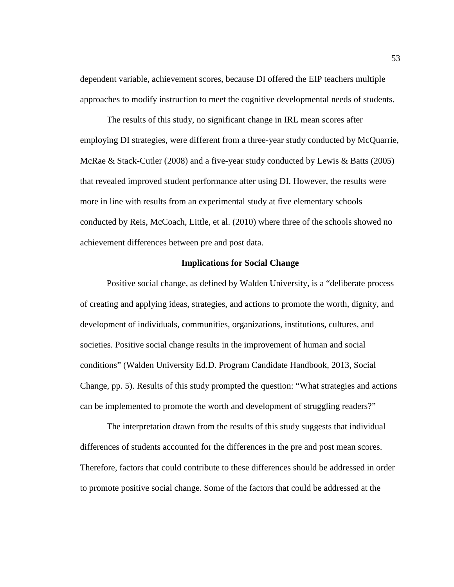dependent variable, achievement scores, because DI offered the EIP teachers multiple approaches to modify instruction to meet the cognitive developmental needs of students.

 The results of this study, no significant change in IRL mean scores after employing DI strategies, were different from a three-year study conducted by McQuarrie, McRae & Stack-Cutler (2008) and a five-year study conducted by Lewis & Batts (2005) that revealed improved student performance after using DI. However, the results were more in line with results from an experimental study at five elementary schools conducted by Reis, McCoach, Little, et al. (2010) where three of the schools showed no achievement differences between pre and post data.

## **Implications for Social Change**

 Positive social change, as defined by Walden University, is a "deliberate process of creating and applying ideas, strategies, and actions to promote the worth, dignity, and development of individuals, communities, organizations, institutions, cultures, and societies. Positive social change results in the improvement of human and social conditions" (Walden University Ed.D. Program Candidate Handbook, 2013, Social Change, pp. 5). Results of this study prompted the question: "What strategies and actions can be implemented to promote the worth and development of struggling readers?"

The interpretation drawn from the results of this study suggests that individual differences of students accounted for the differences in the pre and post mean scores. Therefore, factors that could contribute to these differences should be addressed in order to promote positive social change. Some of the factors that could be addressed at the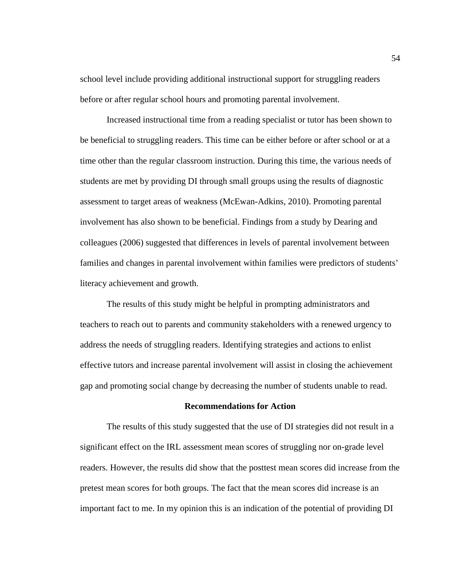school level include providing additional instructional support for struggling readers before or after regular school hours and promoting parental involvement.

Increased instructional time from a reading specialist or tutor has been shown to be beneficial to struggling readers. This time can be either before or after school or at a time other than the regular classroom instruction. During this time, the various needs of students are met by providing DI through small groups using the results of diagnostic assessment to target areas of weakness (McEwan-Adkins, 2010). Promoting parental involvement has also shown to be beneficial. Findings from a study by Dearing and colleagues (2006) suggested that differences in levels of parental involvement between families and changes in parental involvement within families were predictors of students' literacy achievement and growth.

The results of this study might be helpful in prompting administrators and teachers to reach out to parents and community stakeholders with a renewed urgency to address the needs of struggling readers. Identifying strategies and actions to enlist effective tutors and increase parental involvement will assist in closing the achievement gap and promoting social change by decreasing the number of students unable to read.

### **Recommendations for Action**

 The results of this study suggested that the use of DI strategies did not result in a significant effect on the IRL assessment mean scores of struggling nor on-grade level readers. However, the results did show that the posttest mean scores did increase from the pretest mean scores for both groups. The fact that the mean scores did increase is an important fact to me. In my opinion this is an indication of the potential of providing DI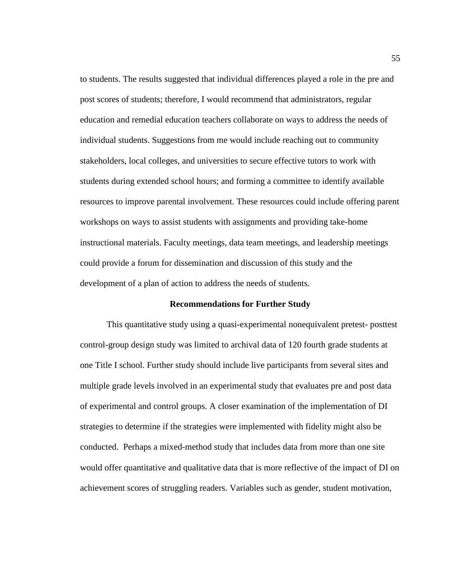to students. The results suggested that individual differences played a role in the pre and post scores of students; therefore, I would recommend that administrators, regular education and remedial education teachers collaborate on ways to address the needs of individual students. Suggestions from me would include reaching out to community stakeholders, local colleges, and universities to secure effective tutors to work with students during extended school hours; and forming a committee to identify available resources to improve parental involvement. These resources could include offering parent workshops on ways to assist students with assignments and providing take-home instructional materials. Faculty meetings, data team meetings, and leadership meetings could provide a forum for dissemination and discussion of this study and the development of a plan of action to address the needs of students.

### **Recommendations for Further Study**

 This quantitative study using a quasi-experimental nonequivalent pretest- posttest control-group design study was limited to archival data of 120 fourth grade students at one Title I school. Further study should include live participants from several sites and multiple grade levels involved in an experimental study that evaluates pre and post data of experimental and control groups. A closer examination of the implementation of DI strategies to determine if the strategies were implemented with fidelity might also be conducted. Perhaps a mixed-method study that includes data from more than one site would offer quantitative and qualitative data that is more reflective of the impact of DI on achievement scores of struggling readers. Variables such as gender, student motivation,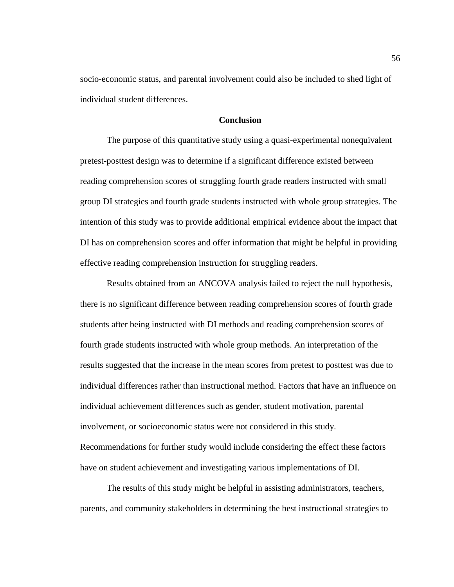socio-economic status, and parental involvement could also be included to shed light of individual student differences.

# **Conclusion**

The purpose of this quantitative study using a quasi-experimental nonequivalent pretest-posttest design was to determine if a significant difference existed between reading comprehension scores of struggling fourth grade readers instructed with small group DI strategies and fourth grade students instructed with whole group strategies. The intention of this study was to provide additional empirical evidence about the impact that DI has on comprehension scores and offer information that might be helpful in providing effective reading comprehension instruction for struggling readers.

Results obtained from an ANCOVA analysis failed to reject the null hypothesis, there is no significant difference between reading comprehension scores of fourth grade students after being instructed with DI methods and reading comprehension scores of fourth grade students instructed with whole group methods. An interpretation of the results suggested that the increase in the mean scores from pretest to posttest was due to individual differences rather than instructional method. Factors that have an influence on individual achievement differences such as gender, student motivation, parental involvement, or socioeconomic status were not considered in this study. Recommendations for further study would include considering the effect these factors have on student achievement and investigating various implementations of DI.

The results of this study might be helpful in assisting administrators, teachers, parents, and community stakeholders in determining the best instructional strategies to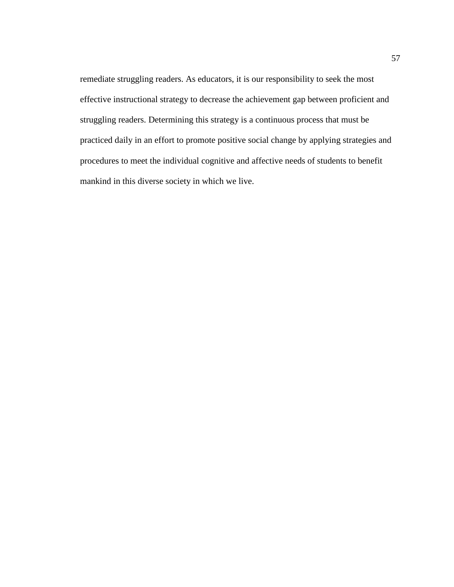remediate struggling readers. As educators, it is our responsibility to seek the most effective instructional strategy to decrease the achievement gap between proficient and struggling readers. Determining this strategy is a continuous process that must be practiced daily in an effort to promote positive social change by applying strategies and procedures to meet the individual cognitive and affective needs of students to benefit mankind in this diverse society in which we live.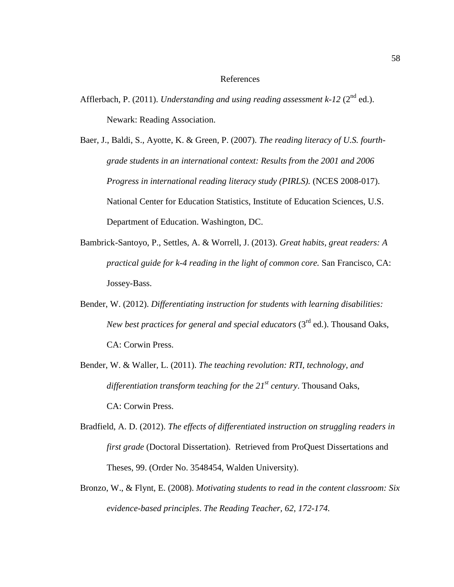### References

- Afflerbach, P. (2011). *Understanding and using reading assessment k-12* ( $2^{nd}$  ed.). Newark: Reading Association.
- Baer, J., Baldi, S., Ayotte, K. & Green, P. (2007). *The reading literacy of U.S. fourthgrade students in an international context: Results from the 2001 and 2006 Progress in international reading literacy study (PIRLS).* (NCES 2008-017). National Center for Education Statistics, Institute of Education Sciences, U.S. Department of Education. Washington, DC.
- Bambrick-Santoyo, P., Settles, A. & Worrell, J. (2013). *Great habits, great readers: A practical guide for k-4 reading in the light of common core.* San Francisco, CA: Jossey-Bass.
- Bender, W. (2012). *Differentiating instruction for students with learning disabilities: New best practices for general and special educators* (3<sup>rd</sup> ed.). Thousand Oaks, CA: Corwin Press.
- Bender, W. & Waller, L. (2011). *The teaching revolution: RTI, technology, and differentiation transform teaching for the 21st century*. Thousand Oaks, CA: Corwin Press.
- Bradfield, A. D. (2012). *The effects of differentiated instruction on struggling readers in first grade* (Doctoral Dissertation). Retrieved from ProQuest Dissertations and Theses, 99. (Order No. 3548454, Walden University).
- Bronzo, W., & Flynt, E. (2008). *Motivating students to read in the content classroom: Six evidence-based principles*. *The Reading Teacher, 62, 172-174.*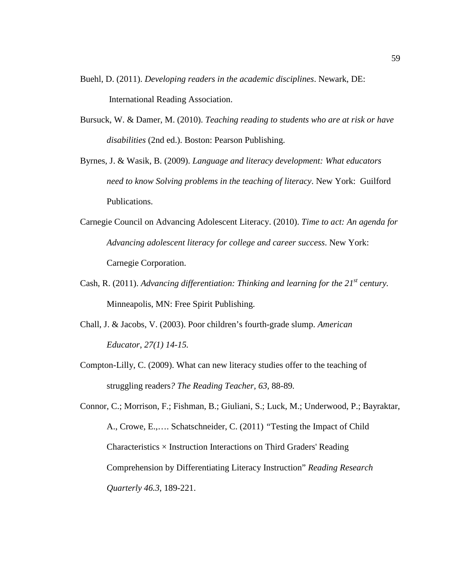- Buehl, D. (2011). *Developing readers in the academic disciplines*. Newark, DE: International Reading Association.
- Bursuck, W. & Damer, M. (2010). *Teaching reading to students who are at risk or have disabilities* (2nd ed.). Boston: Pearson Publishing.
- Byrnes, J. & Wasik, B. (2009). *Language and literacy development: What educators need to know Solving problems in the teaching of literacy*. New York: Guilford Publications.
- Carnegie Council on Advancing Adolescent Literacy. (2010). *Time to act: An agenda for Advancing adolescent literacy for college and career success*. New York: Carnegie Corporation.
- Cash, R. (2011). *Advancing differentiation: Thinking and learning for the 21st century.*  Minneapolis, MN: Free Spirit Publishing.
- Chall, J. & Jacobs, V. (2003). Poor children's fourth-grade slump. *American Educator*, *27(1) 14-15.*
- Compton-Lilly, C. (2009). What can new literacy studies offer to the teaching of struggling readers*? The Reading Teacher, 63,* 88-89*.*
- Connor, C.; Morrison, F.; Fishman, B.; Giuliani, S.; Luck, M.; Underwood, P.; Bayraktar, A., Crowe, E.,…. Schatschneider, C. (2011) *"*Testing the Impact of Child Characteristics  $\times$  Instruction Interactions on Third Graders' Reading Comprehension by Differentiating Literacy Instruction" *Reading Research Quarterly 46.3*, 189-221.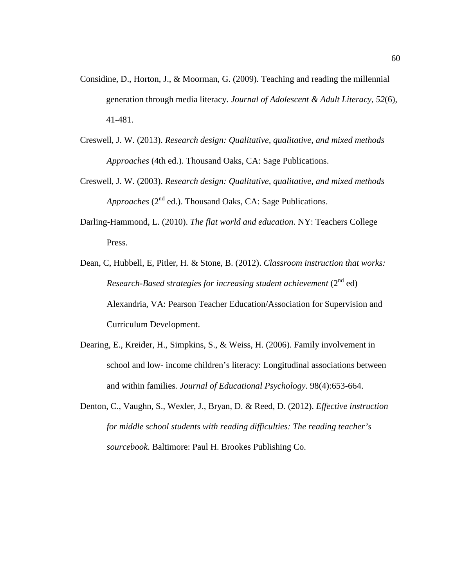- Considine, D., Horton, J., & Moorman, G. (2009). Teaching and reading the millennial generation through media literacy. *Journal of Adolescent & Adult Literacy*, *52*(6), 41-481.
- Creswell, J. W. (2013). *Research design: Qualitative, qualitative, and mixed methods Approaches* (4th ed.). Thousand Oaks, CA: Sage Publications.
- Creswell, J. W. (2003). *Research design: Qualitative, qualitative, and mixed methods Approaches* (2<sup>nd</sup> ed.). Thousand Oaks, CA: Sage Publications.
- Darling-Hammond, L. (2010). *The flat world and education*. NY: Teachers College Press.
- Dean, C, Hubbell, E, Pitler, H. & Stone, B. (2012). *Classroom instruction that works: Research-Based strategies for increasing student achievement* (2<sup>nd</sup> ed) Alexandria, VA: Pearson Teacher Education/Association for Supervision and Curriculum Development.
- Dearing, E., Kreider, H., Simpkins, S., & Weiss, H. (2006). Family involvement in school and low- income children's literacy: Longitudinal associations between and within families*. Journal of Educational Psychology*. 98(4):653-664.
- Denton, C., Vaughn, S., Wexler, J., Bryan, D. & Reed, D. (2012). *Effective instruction for middle school students with reading difficulties: The reading teacher's sourcebook*. Baltimore: Paul H. Brookes Publishing Co.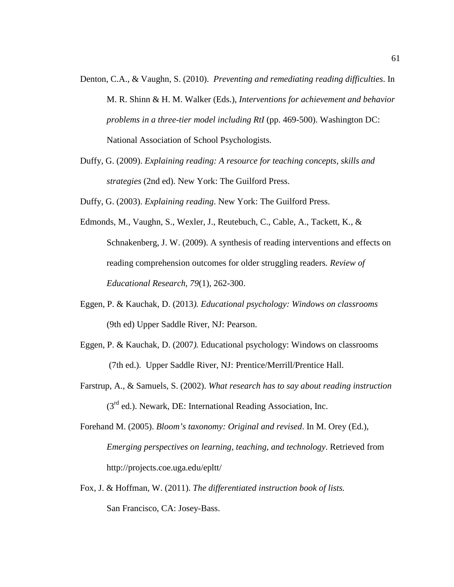- Denton, C.A., & Vaughn, S. (2010). *Preventing and remediating reading difficulties*. In M. R. Shinn & H. M. Walker (Eds.), *Interventions for achievement and behavior problems in a three-tier model including RtI* (pp. 469-500). Washington DC: National Association of School Psychologists.
- Duffy, G. (2009). *Explaining reading: A resource for teaching concepts, skills and strategies* (2nd ed). New York: The Guilford Press.

Duffy, G. (2003). *Explaining reading*. New York: The Guilford Press.

- Edmonds, M., Vaughn, S., Wexler, J., Reutebuch, C., Cable, A., Tackett, K., & Schnakenberg, J. W. (2009). A synthesis of reading interventions and effects on reading comprehension outcomes for older struggling readers*. Review of Educational Research, 79*(1), 262-300.
- Eggen, P. & Kauchak, D. (2013*). Educational psychology: Windows on classrooms* (9th ed) Upper Saddle River, NJ: Pearson.
- Eggen, P. & Kauchak, D. (2007*).* Educational psychology: Windows on classrooms (7th ed.). Upper Saddle River, NJ: Prentice/Merrill/Prentice Hall.
- Farstrup, A., & Samuels, S. (2002). *What research has to say about reading instruction*   $(3<sup>rd</sup>$  ed.). Newark, DE: International Reading Association, Inc.

Forehand M. (2005). *Bloom's taxonomy: Original and revised*. In M. Orey (Ed.), *Emerging perspectives on learning, teaching, and technology*. Retrieved from http://projects.coe.uga.edu/epltt/

Fox, J. & Hoffman, W. (2011). *The differentiated instruction book of lists.* San Francisco, CA: Josey-Bass.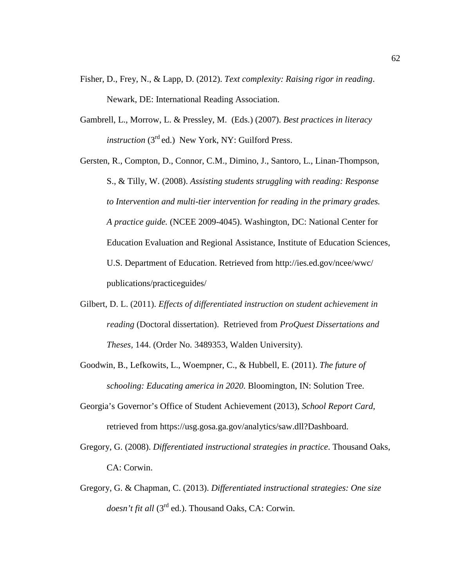- Fisher, D., Frey, N., & Lapp, D. (2012). *Text complexity: Raising rigor in reading*. Newark, DE: International Reading Association.
- Gambrell, L., Morrow, L. & Pressley, M. (Eds.) (2007). *Best practices in literacy instruction* (3<sup>rd</sup> ed.) New York, NY: Guilford Press.

Gersten, R., Compton, D., Connor, C.M., Dimino, J., Santoro, L., Linan-Thompson, S., & Tilly, W. (2008). *Assisting students struggling with reading: Response to Intervention and multi-tier intervention for reading in the primary grades. A practice guide.* (NCEE 2009-4045). Washington, DC: National Center for Education Evaluation and Regional Assistance, Institute of Education Sciences, U.S. Department of Education. Retrieved from http://ies.ed.gov/ncee/wwc/ publications/practiceguides/

- Gilbert, D. L. (2011). *Effects of differentiated instruction on student achievement in reading* (Doctoral dissertation). Retrieved from *ProQuest Dissertations and Theses,* 144. (Order No. 3489353, Walden University).
- Goodwin, B., Lefkowits, L., Woempner, C., & Hubbell, E. (2011). *The future of schooling: Educating america in 2020.* Bloomington, IN: Solution Tree.
- Georgia's Governor's Office of Student Achievement (2013), *School Report Card*, retrieved from https://usg.gosa.ga.gov/analytics/saw.dll?Dashboard.
- Gregory, G. (2008). *Differentiated instructional strategies in practice*. Thousand Oaks, CA: Corwin.
- Gregory, G. & Chapman, C. (2013). *Differentiated instructional strategies: One size doesn't fit all* (3<sup>rd</sup> ed.). Thousand Oaks, CA: Corwin.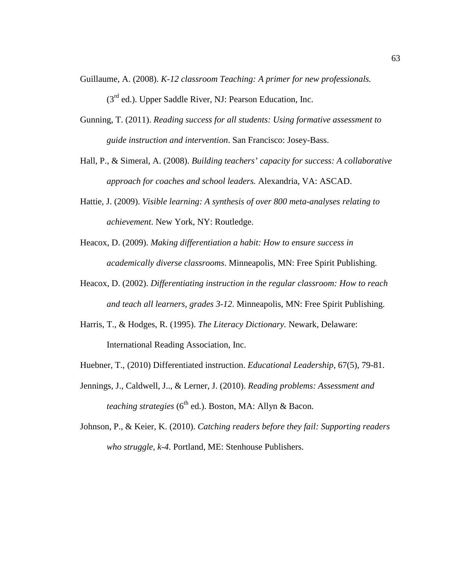- Guillaume, A. (2008). *K-12 classroom Teaching: A primer for new professionals.*   $(3<sup>rd</sup>$  ed.). Upper Saddle River, NJ: Pearson Education, Inc.
- Gunning, T. (2011). *Reading success for all students: Using formative assessment to guide instruction and intervention*. San Francisco: Josey-Bass.
- Hall, P., & Simeral, A. (2008). *Building teachers' capacity for success: A collaborative approach for coaches and school leaders.* Alexandria, VA: ASCAD.
- Hattie, J. (2009). *Visible learning: A synthesis of over 800 meta-analyses relating to achievement*. New York, NY: Routledge.
- Heacox, D. (2009). *Making differentiation a habit: How to ensure success in academically diverse classrooms*. Minneapolis, MN: Free Spirit Publishing.
- Heacox, D. (2002). *Differentiating instruction in the regular classroom: How to reach and teach all learners, grades 3-12*. Minneapolis, MN: Free Spirit Publishing.
- Harris, T., & Hodges, R. (1995). *The Literacy Dictionary.* Newark, Delaware: International Reading Association, Inc.
- Huebner, T., (2010) Differentiated instruction. *Educational Leadership*, 67(5), 79-81.
- Jennings, J., Caldwell, J.., & Lerner, J. (2010). *Reading problems: Assessment and teaching strategies* (6<sup>th</sup> ed.). Boston, MA: Allyn & Bacon.
- Johnson, P., & Keier, K. (2010). *Catching readers before they fail: Supporting readers who struggle, k-4*. Portland, ME: Stenhouse Publishers.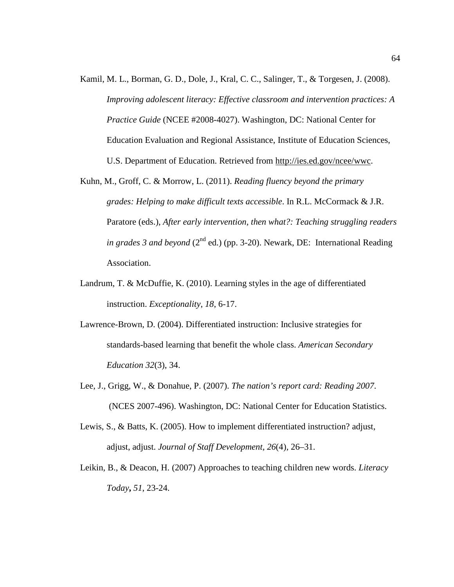- Kamil, M. L., Borman, G. D., Dole, J., Kral, C. C., Salinger, T., & Torgesen, J. (2008). *Improving adolescent literacy: Effective classroom and intervention practices: A Practice Guide* (NCEE #2008-4027). Washington, DC: National Center for Education Evaluation and Regional Assistance, Institute of Education Sciences, U.S. Department of Education. Retrieved from http://ies.ed.gov/ncee/wwc.
- Kuhn, M., Groff, C. & Morrow, L. (2011). *Reading fluency beyond the primary grades: Helping to make difficult texts accessible*. In R.L. McCormack & J.R. Paratore (eds.), *After early intervention, then what?: Teaching struggling readers in grades 3 and beyond* ( $2^{nd}$  ed.) (pp. 3-20). Newark, DE: International Reading Association.
- Landrum, T. & McDuffie, K. (2010). Learning styles in the age of differentiated instruction. *Exceptionality*, *18*, 6-17.
- Lawrence-Brown, D. (2004). Differentiated instruction: Inclusive strategies for standards-based learning that benefit the whole class. *American Secondary Education 32*(3), 34.
- Lee, J., Grigg, W., & Donahue, P. (2007). *The nation's report card: Reading 2007*. (NCES 2007-496). Washington, DC: National Center for Education Statistics.
- Lewis, S., & Batts, K. (2005). How to implement differentiated instruction? adjust, adjust, adjust. *Journal of Staff Development, 26*(4)*,* 26–31.
- Leikin, B., & Deacon, H. (2007) Approaches to teaching children new words. *Literacy Today***,** *51*, 23-24.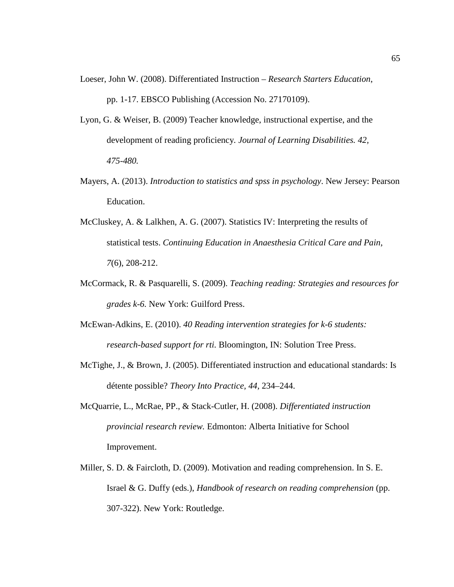Loeser, John W. (2008). Differentiated Instruction – *Research Starters Education*,

pp. 1-17. EBSCO Publishing (Accession No. 27170109).

- Lyon, G. & Weiser, B. (2009) Teacher knowledge, instructional expertise, and the development of reading proficiency*. Journal of Learning Disabilities. 42, 475-480.*
- Mayers, A. (2013). *Introduction to statistics and spss in psychology*. New Jersey: Pearson Education.
- McCluskey, A. & Lalkhen, A. G. (2007). Statistics IV: Interpreting the results of statistical tests. *Continuing Education in Anaesthesia Critical Care and Pain*, *7*(6), 208-212.
- McCormack, R. & Pasquarelli, S. (2009). *Teaching reading: Strategies and resources for grades k-6.* New York: Guilford Press.
- McEwan-Adkins, E. (2010). *40 Reading intervention strategies for k-6 students: research-based support for rti.* Bloomington, IN: Solution Tree Press.
- McTighe, J., & Brown, J. (2005). Differentiated instruction and educational standards: Is détente possible? *Theory Into Practice, 44,* 234–244.
- McQuarrie, L., McRae, PP., & Stack-Cutler, H. (2008). *Differentiated instruction provincial research review.* Edmonton: Alberta Initiative for School Improvement.
- Miller, S. D. & Faircloth, D. (2009). Motivation and reading comprehension. In S. E. Israel & G. Duffy (eds.), *Handbook of research on reading comprehension* (pp. 307-322). New York: Routledge.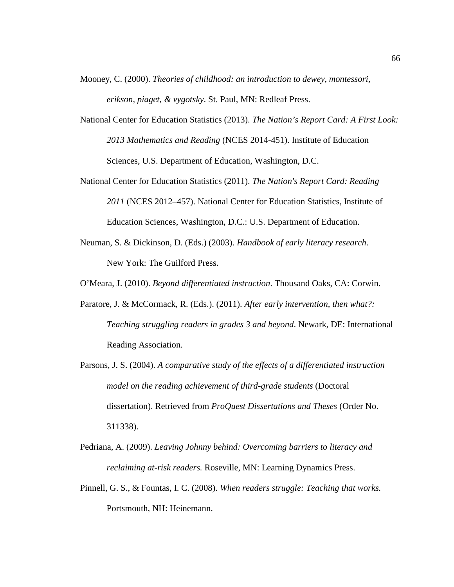Mooney, C. (2000). *Theories of childhood: an introduction to dewey, montessori, erikson, piaget, & vygotsky*. St. Paul, MN: Redleaf Press.

- National Center for Education Statistics (2013). *The Nation's Report Card: A First Look: 2013 Mathematics and Reading* (NCES 2014-451). Institute of Education Sciences, U.S. Department of Education, Washington, D.C.
- National Center for Education Statistics (2011). *The Nation's Report Card: Reading 2011* (NCES 2012–457). National Center for Education Statistics, Institute of Education Sciences, Washington, D.C.: U.S. Department of Education.
- Neuman, S. & Dickinson, D. (Eds.) (2003). *Handbook of early literacy research*. New York: The Guilford Press.

O'Meara, J. (2010). *Beyond differentiated instruction*. Thousand Oaks, CA: Corwin.

- Paratore, J. & McCormack, R. (Eds.). (2011). *After early intervention, then what?: Teaching struggling readers in grades 3 and beyond*. Newark, DE: International Reading Association.
- Parsons, J. S. (2004). *A comparative study of the effects of a differentiated instruction model on the reading achievement of third-grade students* (Doctoral dissertation). Retrieved from *ProQuest Dissertations and Theses* (Order No. 311338).
- Pedriana, A. (2009). *Leaving Johnny behind: Overcoming barriers to literacy and reclaiming at-risk readers.* Roseville, MN: Learning Dynamics Press.
- Pinnell, G. S., & Fountas, I. C. (2008). *When readers struggle: Teaching that works.*  Portsmouth, NH: Heinemann.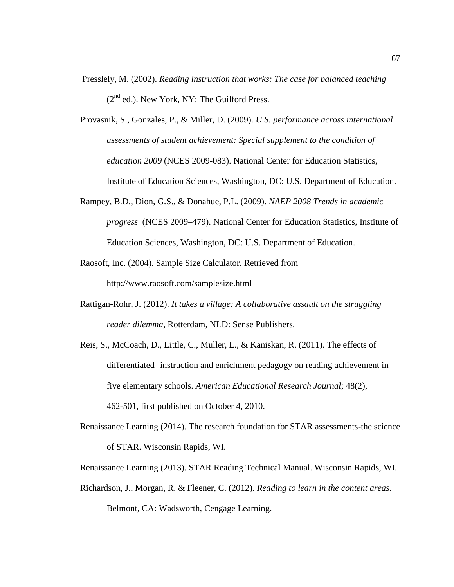- Presslely, M. (2002). *Reading instruction that works: The case for balanced teaching*  $(2^{nd}$  ed.). New York, NY: The Guilford Press.
- Provasnik, S., Gonzales, P., & Miller, D. (2009). *U.S. performance across international assessments of student achievement: Special supplement to the condition of education 2009* (NCES 2009-083). National Center for Education Statistics, Institute of Education Sciences, Washington, DC: U.S. Department of Education.
- Rampey, B.D., Dion, G.S., & Donahue, P.L. (2009). *NAEP 2008 Trends in academic progress* (NCES 2009–479). National Center for Education Statistics, Institute of Education Sciences, Washington, DC: U.S. Department of Education.
- Raosoft, Inc. (2004). Sample Size Calculator. Retrieved from http://www.raosoft.com/samplesize.html
- Rattigan-Rohr, J. (2012). *It takes a village: A collaborative assault on the struggling reader dilemma*, Rotterdam, NLD: Sense Publishers.
- Reis, S., McCoach, D., Little, C., Muller, L., & Kaniskan, R. (2011). The effects of differentiated instruction and enrichment pedagogy on reading achievement in five elementary schools. *American Educational Research Journal*; 48(2), 462-501, first published on October 4, 2010.
- Renaissance Learning (2014). The research foundation for STAR assessments-the science of STAR. Wisconsin Rapids, WI.
- Renaissance Learning (2013). STAR Reading Technical Manual. Wisconsin Rapids, WI.
- Richardson, J., Morgan, R. & Fleener, C. (2012). *Reading to learn in the content areas*. Belmont, CA: Wadsworth, Cengage Learning.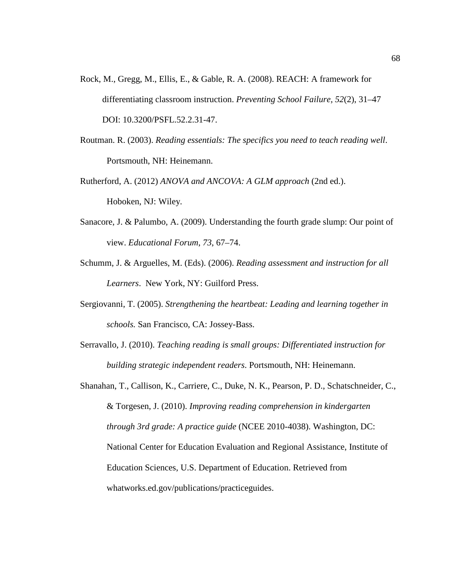- Rock, M., Gregg, M., Ellis, E., & Gable, R. A. (2008). REACH: A framework for differentiating classroom instruction. *Preventing School Failure, 52*(2), 31–47 DOI: 10.3200/PSFL.52.2.31-47.
- Routman. R. (2003). *Reading essentials: The specifics you need to teach reading well*. Portsmouth, NH: Heinemann.
- Rutherford, A. (2012) *ANOVA and ANCOVA: A GLM approach* (2nd ed.). Hoboken, NJ: Wiley.
- Sanacore, J. & Palumbo, A. (2009). Understanding the fourth grade slump: Our point of view. *Educational Forum*, *73*, 67–74.
- Schumm, J. & Arguelles, M. (Eds). (2006). *Reading assessment and instruction for all Learners*. New York, NY: Guilford Press.
- Sergiovanni, T. (2005). *Strengthening the heartbeat: Leading and learning together in schools.* San Francisco, CA: Jossey-Bass.
- Serravallo, J. (2010). *Teaching reading is small groups: Differentiated instruction for building strategic independent readers*. Portsmouth, NH: Heinemann.
- Shanahan, T., Callison, K., Carriere, C., Duke, N. K., Pearson, P. D., Schatschneider, C., & Torgesen, J. (2010). *Improving reading comprehension in kindergarten through 3rd grade: A practice guide* (NCEE 2010-4038). Washington, DC: National Center for Education Evaluation and Regional Assistance, Institute of Education Sciences, U.S. Department of Education. Retrieved from whatworks.ed.gov/publications/practiceguides.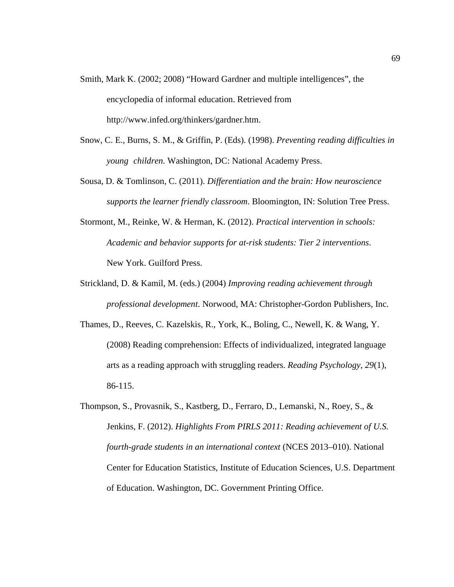- Smith, Mark K. (2002; 2008) "Howard Gardner and multiple intelligences", the encyclopedia of informal education. Retrieved from http://www.infed.org/thinkers/gardner.htm.
- Snow, C. E., Burns, S. M., & Griffin, P. (Eds). (1998). *Preventing reading difficulties in young children.* Washington, DC: National Academy Press.
- Sousa, D. & Tomlinson, C. (2011). *Differentiation and the brain: How neuroscience supports the learner friendly classroom*. Bloomington, IN: Solution Tree Press.
- Stormont, M., Reinke, W. & Herman, K. (2012). *Practical intervention in schools: Academic and behavior supports for at-risk students: Tier 2 interventions*. New York. Guilford Press.
- Strickland, D. & Kamil, M. (eds.) (2004) *Improving reading achievement through professional development*. Norwood, MA: Christopher-Gordon Publishers, Inc.
- Thames, D., Reeves, C. Kazelskis, R., York, K., Boling, C., Newell, K. & Wang, Y. (2008) Reading comprehension: Effects of individualized, integrated language arts as a reading approach with struggling readers. *Reading Psychology*, *29*(1), 86-115.
- Thompson, S., Provasnik, S., Kastberg, D., Ferraro, D., Lemanski, N., Roey, S., & Jenkins, F. (2012). *Highlights From PIRLS 2011: Reading achievement of U.S. fourth-grade students in an international context* (NCES 2013–010). National Center for Education Statistics, Institute of Education Sciences, U.S. Department of Education. Washington, DC. Government Printing Office.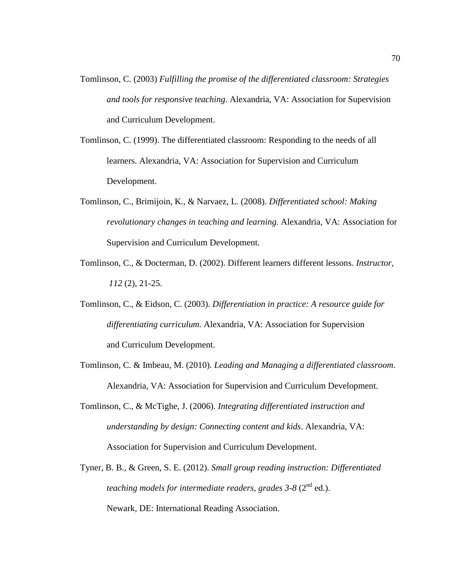- Tomlinson, C. (2003) *Fulfilling the promise of the differentiated classroom: Strategies and tools for responsive teaching*. Alexandria, VA: Association for Supervision and Curriculum Development.
- Tomlinson, C. (1999). The differentiated classroom: Responding to the needs of all learners*.* Alexandria, VA: Association for Supervision and Curriculum Development.
- Tomlinson, C., Brimijoin, K., & Narvaez, L. (2008). *Differentiated school: Making revolutionary changes in teaching and learning.* Alexandria, VA: Association for Supervision and Curriculum Development.
- Tomlinson, C., & Docterman, D. (2002). Different learners different lessons. *Instructor*, *112* (2), 21-25.
- Tomlinson, C., & Eidson, C. (2003). *Differentiation in practice: A resource guide for differentiating curriculum.* Alexandria, VA: Association for Supervision and Curriculum Development.
- Tomlinson, C. & Imbeau, M. (2010). *Leading and Managing a differentiated classroom*. Alexandria, VA: Association for Supervision and Curriculum Development.
- Tomlinson, C., & McTighe, J. (2006). *Integrating differentiated instruction and understanding by design: Connecting content and kids*. Alexandria, VA: Association for Supervision and Curriculum Development.
- Tyner, B. B., & Green, S. E. (2012). *Small group reading instruction: Differentiated teaching models for intermediate readers, grades 3-8 (2<sup>nd</sup> ed.).* Newark, DE: International Reading Association.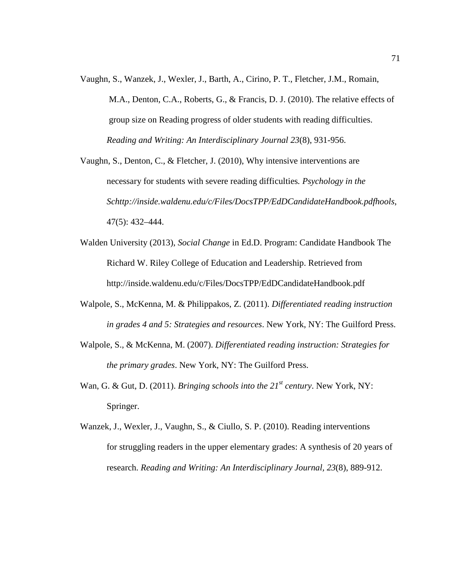Vaughn, S., Wanzek, J., Wexler, J., Barth, A., Cirino, P. T., Fletcher, J.M., Romain, M.A., Denton, C.A., Roberts, G., & Francis, D. J. (2010). The relative effects of group size on Reading progress of older students with reading difficulties. *Reading and Writing: An Interdisciplinary Journal 23*(8), 931-956.

Vaughn, S., Denton, C., & Fletcher, J. (2010), Why intensive interventions are necessary for students with severe reading difficulties*. Psychology in the Schttp://inside.waldenu.edu/c/Files/DocsTPP/EdDCandidateHandbook.pdfhools*, 47(5): 432–444.

- Walden University (2013), *Social Change* in Ed.D. Program: Candidate Handbook The Richard W. Riley College of Education and Leadership. Retrieved from http://inside.waldenu.edu/c/Files/DocsTPP/EdDCandidateHandbook.pdf
- Walpole, S., McKenna, M. & Philippakos, Z. (2011). *Differentiated reading instruction in grades 4 and 5: Strategies and resources*. New York, NY: The Guilford Press.
- Walpole, S., & McKenna, M. (2007). *Differentiated reading instruction: Strategies for the primary grades*. New York, NY: The Guilford Press.
- Wan, G. & Gut, D. (2011). *Bringing schools into the 21st century*. New York, NY: Springer.
- Wanzek, J., Wexler, J., Vaughn, S., & Ciullo, S. P. (2010). Reading interventions for struggling readers in the upper elementary grades: A synthesis of 20 years of research. *Reading and Writing: An Interdisciplinary Journal, 23*(8), 889-912.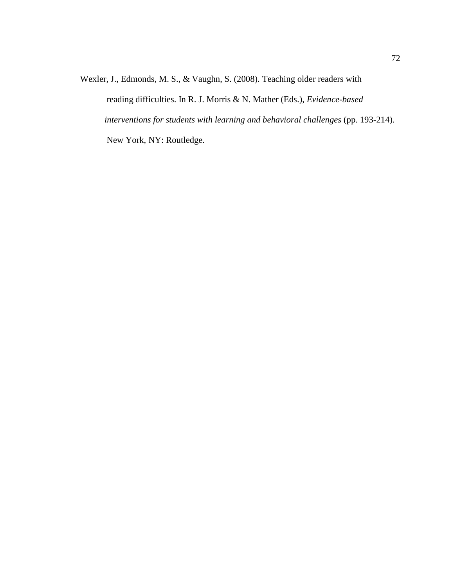Wexler, J., Edmonds, M. S., & Vaughn, S. (2008). Teaching older readers with reading difficulties. In R. J. Morris & N. Mather (Eds.), *Evidence-based interventions for students with learning and behavioral challenges* (pp. 193-214). New York, NY: Routledge.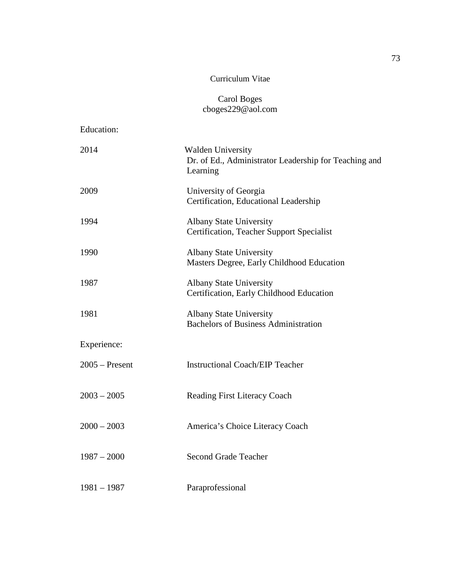## Curriculum Vitae

## Carol Boges cboges229@aol.com

Education:

| 2014             | <b>Walden University</b><br>Dr. of Ed., Administrator Leadership for Teaching and<br>Learning |
|------------------|-----------------------------------------------------------------------------------------------|
| 2009             | University of Georgia<br>Certification, Educational Leadership                                |
| 1994             | <b>Albany State University</b><br><b>Certification, Teacher Support Specialist</b>            |
| 1990             | <b>Albany State University</b><br>Masters Degree, Early Childhood Education                   |
| 1987             | <b>Albany State University</b><br>Certification, Early Childhood Education                    |
| 1981             | <b>Albany State University</b><br><b>Bachelors of Business Administration</b>                 |
| Experience:      |                                                                                               |
| $2005 -$ Present | <b>Instructional Coach/EIP Teacher</b>                                                        |
| $2003 - 2005$    | <b>Reading First Literacy Coach</b>                                                           |
| $2000 - 2003$    | America's Choice Literacy Coach                                                               |
| $1987 - 2000$    | <b>Second Grade Teacher</b>                                                                   |
| $1981 - 1987$    | Paraprofessional                                                                              |